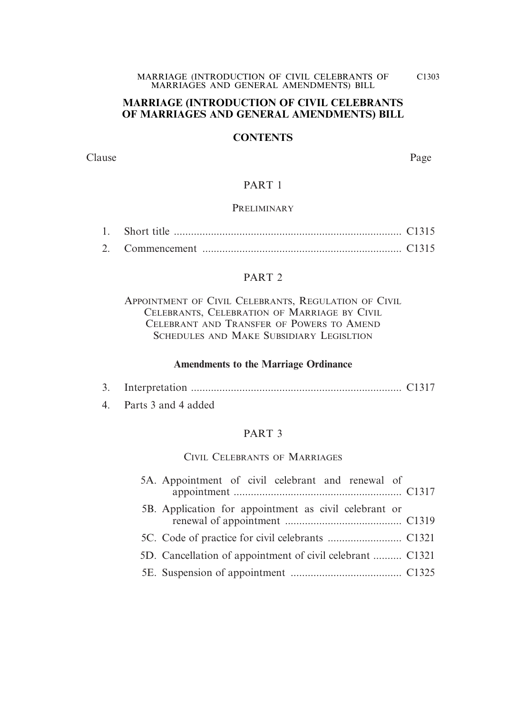## **MARRIAGE (INTRODUCTION OF CIVIL CELEBRANTS OF MARRIAGES AND GENERAL AMENDMENTS) BILL**

## **CONTENTS**

Clause Page

## PART 1

## **PRELIMINARY**

## PART 2

APPOINTMENT OF CIVIL CELEBRANTS, REGULATION OF CIVIL CELEBRANTS, CELEBRATION OF MARRIAGE BY CIVIL CELEBRANT AND TRANSFER OF POWERS TO AMEND SCHEDULES AND MAKE SUBSIDIARY LEGISLTION

## **Amendments to the Marriage Ordinance**

|--|--|--|

4. Parts 3 and 4 added

## PART 3

## CIVIL CELEBRANTS OF MARRIAGES

| 5A. Appointment of civil celebrant and renewal of         |  |
|-----------------------------------------------------------|--|
| 5B. Application for appointment as civil celebrant or     |  |
|                                                           |  |
| 5D. Cancellation of appointment of civil celebrant  C1321 |  |
|                                                           |  |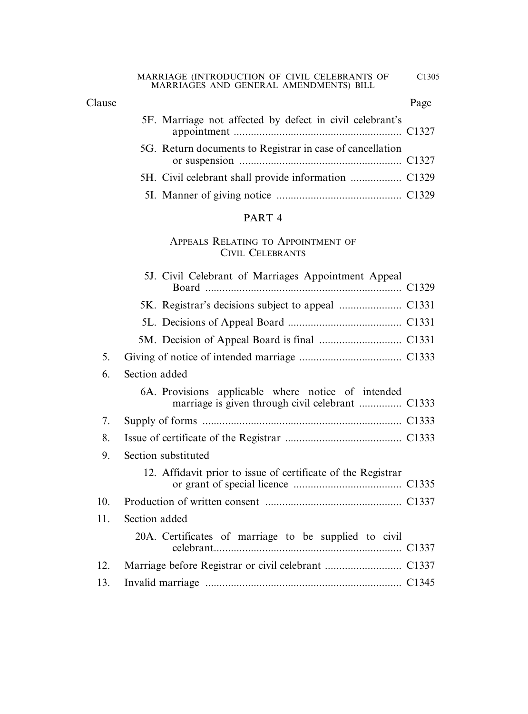## Clause Page

| 5F. Marriage not affected by defect in civil celebrant's  |  |
|-----------------------------------------------------------|--|
| 5G. Return documents to Registrar in case of cancellation |  |
|                                                           |  |
|                                                           |  |

## PART 4

## APPEALS RELATING TO APPOINTMENT OF CIVIL CELEBRANTS

|     | 5J. Civil Celebrant of Marriages Appointment Appeal          |  |
|-----|--------------------------------------------------------------|--|
|     |                                                              |  |
|     |                                                              |  |
|     |                                                              |  |
| 5.  |                                                              |  |
| 6.  | Section added                                                |  |
|     | 6A. Provisions applicable where notice of intended           |  |
| 7.  |                                                              |  |
| 8.  |                                                              |  |
| 9.  | Section substituted                                          |  |
|     | 12. Affidavit prior to issue of certificate of the Registrar |  |
| 10. |                                                              |  |
| 11. | Section added                                                |  |
|     | 20A. Certificates of marriage to be supplied to civil        |  |
| 12. |                                                              |  |
| 13. |                                                              |  |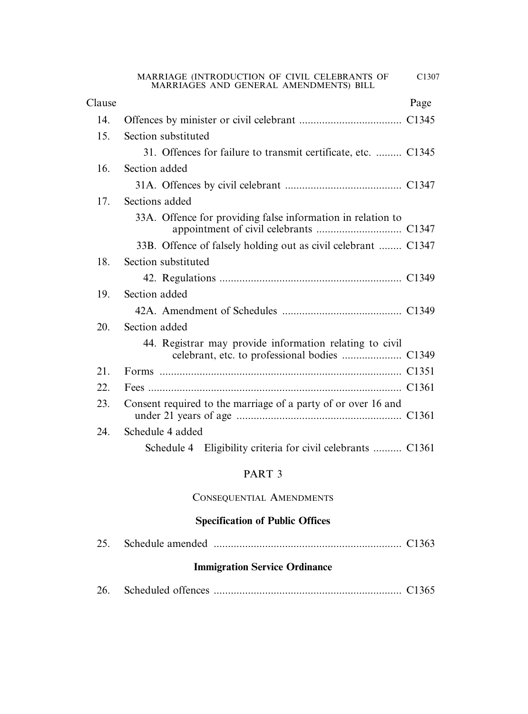| MARRIAGE (INTRODUCTION OF CIVIL CELEBRANTS OF |  |  | C <sub>1307</sub> |
|-----------------------------------------------|--|--|-------------------|
| MARRIAGES AND GENERAL AMENDMENTS) BILL        |  |  |                   |

| Clause |                                                               | Page |
|--------|---------------------------------------------------------------|------|
| 14.    |                                                               |      |
| 15.    | Section substituted                                           |      |
|        | 31. Offences for failure to transmit certificate, etc.  C1345 |      |
| 16.    | Section added                                                 |      |
|        |                                                               |      |
| 17.    | Sections added                                                |      |
|        | 33A. Offence for providing false information in relation to   |      |
|        | 33B. Offence of falsely holding out as civil celebrant  C1347 |      |
| 18.    | Section substituted                                           |      |
|        |                                                               |      |
| 19.    | Section added                                                 |      |
|        |                                                               |      |
| 20.    | Section added                                                 |      |
|        | 44. Registrar may provide information relating to civil       |      |
| 21.    |                                                               |      |
| 22.    |                                                               |      |
| 23.    | Consent required to the marriage of a party of or over 16 and |      |
| 24.    | Schedule 4 added                                              |      |
|        | Schedule 4 Eligibility criteria for civil celebrants  C1361   |      |

## PART 3

## CONSEQUENTIAL AMENDMENTS

## **Specification of Public Offices**

|--|--|

## **Immigration Service Ordinance**

| 26. |  |  |  |  |
|-----|--|--|--|--|
|-----|--|--|--|--|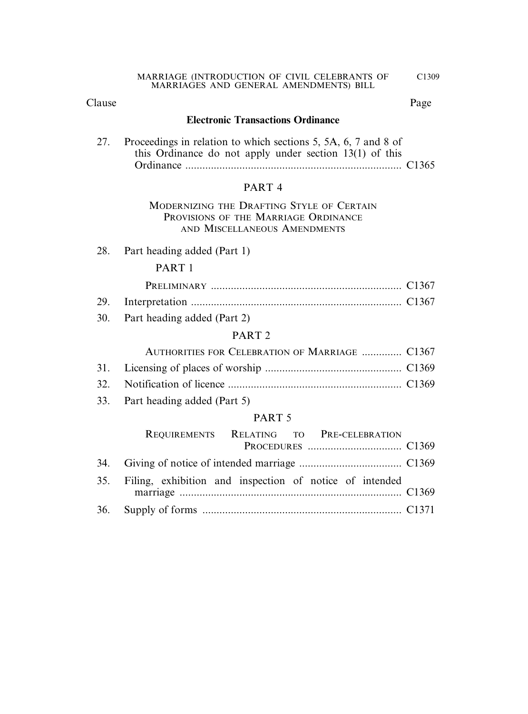## Clause Page

## **Electronic Transactions Ordinance**

27. Proceedings in relation to which sections 5, 5A, 6, 7 and 8 of this Ordinance do not apply under section 13(1) of this Ordinance ............................................................................ C1365

## PART 4

## MODERNIZING THE DRAFTING STYLE OF CERTAIN PROVISIONS OF THE MARRIAGE ORDINANCE AND MISCELLANEOUS AMENDMENTS

28. Part heading added (Part 1)

## PART 1

30. Part heading added (Part 2)

## PART 2

| AUTHORITIES FOR CELEBRATION OF MARRIAGE  C1367 |  |
|------------------------------------------------|--|
|                                                |  |
|                                                |  |

33. Part heading added (Part 5)

## PART 5

| REQUIREMENTS RELATING TO PRE-CELEBRATION                    |  |
|-------------------------------------------------------------|--|
|                                                             |  |
|                                                             |  |
| 35. Filing, exhibition and inspection of notice of intended |  |
|                                                             |  |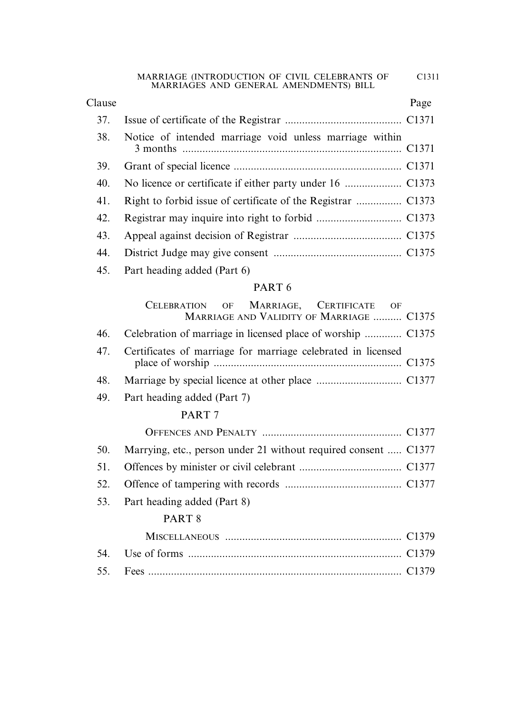## 37. Issue of certificate of the Registrar ......................................... C1371 38. Notice of intended marriage void unless marriage within 3 months ............................................................................. C1371 39. Grant of special licence ........................................................... C1371 40. No licence or certificate if either party under 16 .................... C1373 41. Right to forbid issue of certificate of the Registrar ................ C1373 42. Registrar may inquire into right to forbid .............................. C1373 43. Appeal against decision of Registrar ...................................... C1375 44. District Judge may give consent ............................................. C1375 Clause Page

45. Part heading added (Part 6)

## PART 6

|     | OF MARRIAGE, CERTIFICATE OF<br><b>CELEBRATION</b><br>MARRIAGE AND VALIDITY OF MARRIAGE  C1375 |  |
|-----|-----------------------------------------------------------------------------------------------|--|
| 46. | Celebration of marriage in licensed place of worship  C1375                                   |  |
| 47. | Certificates of marriage for marriage celebrated in licensed                                  |  |
| 48. |                                                                                               |  |
| 49. | Part heading added (Part 7)                                                                   |  |
|     | PART <sub>7</sub>                                                                             |  |
|     |                                                                                               |  |
| 50. | Marrying, etc., person under 21 without required consent  C1377                               |  |
| 51. |                                                                                               |  |
| 52. |                                                                                               |  |
| 53. | Part heading added (Part 8)                                                                   |  |
|     | PART <sub>8</sub>                                                                             |  |
|     |                                                                                               |  |
| 54. |                                                                                               |  |
| 55. |                                                                                               |  |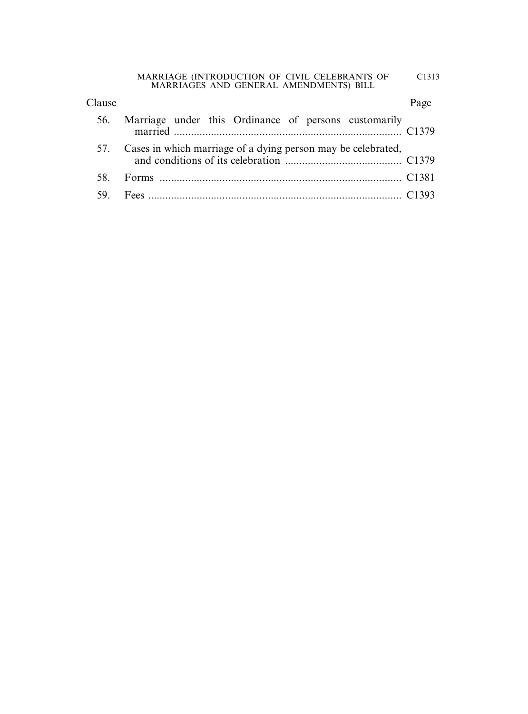| Clause |                                                                  | Page |
|--------|------------------------------------------------------------------|------|
| 56.    | Marriage under this Ordinance of persons customarily             |      |
|        | 57. Cases in which marriage of a dying person may be celebrated, |      |
|        |                                                                  |      |
|        |                                                                  |      |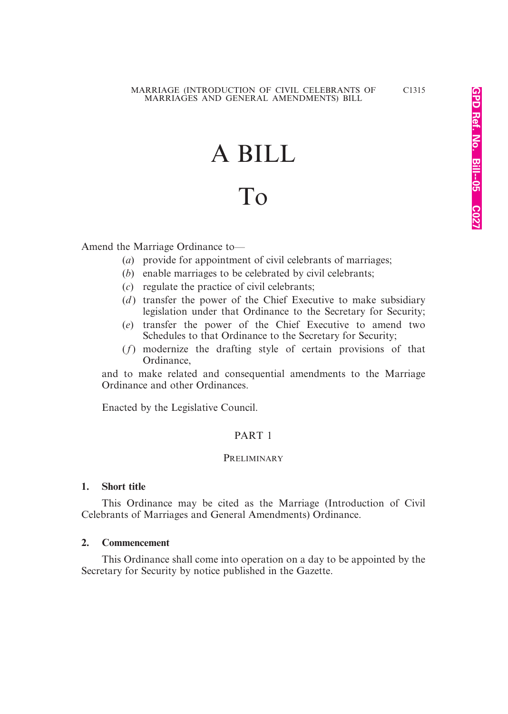# A BILL

# To

Amend the Marriage Ordinance to—

- (*a*) provide for appointment of civil celebrants of marriages;
- (*b*) enable marriages to be celebrated by civil celebrants;
- (*c*) regulate the practice of civil celebrants;
- (*d*) transfer the power of the Chief Executive to make subsidiary legislation under that Ordinance to the Secretary for Security;
- (*e*) transfer the power of the Chief Executive to amend two Schedules to that Ordinance to the Secretary for Security;
- (*f*) modernize the drafting style of certain provisions of that Ordinance,

and to make related and consequential amendments to the Marriage Ordinance and other Ordinances.

Enacted by the Legislative Council.

#### PART 1

#### **PRELIMINARY**

#### **1. Short title**

This Ordinance may be cited as the Marriage (Introduction of Civil Celebrants of Marriages and General Amendments) Ordinance.

#### **2. Commencement**

This Ordinance shall come into operation on a day to be appointed by the Secretary for Security by notice published in the Gazette.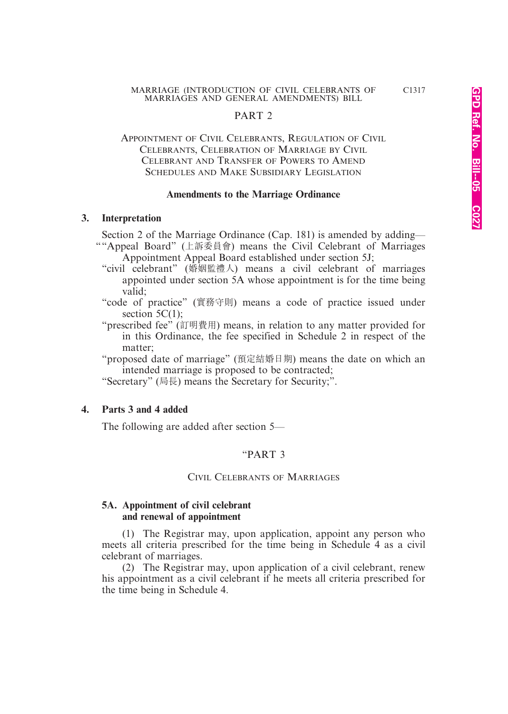#### PART 2

#### APPOINTMENT OF CIVIL CELEBRANTS, REGULATION OF CIVIL CELEBRANTS, CELEBRATION OF MARRIAGE BY CIVIL CELEBRANT AND TRANSFER OF POWERS TO AMEND SCHEDULES AND MAKE SUBSIDIARY LEGISLATION

#### **Amendments to the Marriage Ordinance**

#### **3. Interpretation**

Section 2 of the Marriage Ordinance (Cap. 181) is amended by adding—

- ""Appeal Board" (上訴委員會) means the Civil Celebrant of Marriages Appointment Appeal Board established under section 5J;
	- "civil celebrant" (婚姻監禮人) means a civil celebrant of marriages appointed under section 5A whose appointment is for the time being valid;
	- "code of practice" (實務守則) means a code of practice issued under section 5C(1):
	- "prescribed fee" (訂明費用) means, in relation to any matter provided for in this Ordinance, the fee specified in Schedule 2 in respect of the matter;

"proposed date of marriage" (預定結婚日期) means the date on which an intended marriage is proposed to be contracted;

"Secretary" (局長) means the Secretary for Security;".

#### **4. Parts 3 and 4 added**

The following are added after section 5—

#### "PART 3

#### CIVIL CELEBRANTS OF MARRIAGES

#### **5A. Appointment of civil celebrant and renewal of appointment**

(1) The Registrar may, upon application, appoint any person who meets all criteria prescribed for the time being in Schedule 4 as a civil celebrant of marriages.

(2) The Registrar may, upon application of a civil celebrant, renew his appointment as a civil celebrant if he meets all criteria prescribed for the time being in Schedule 4.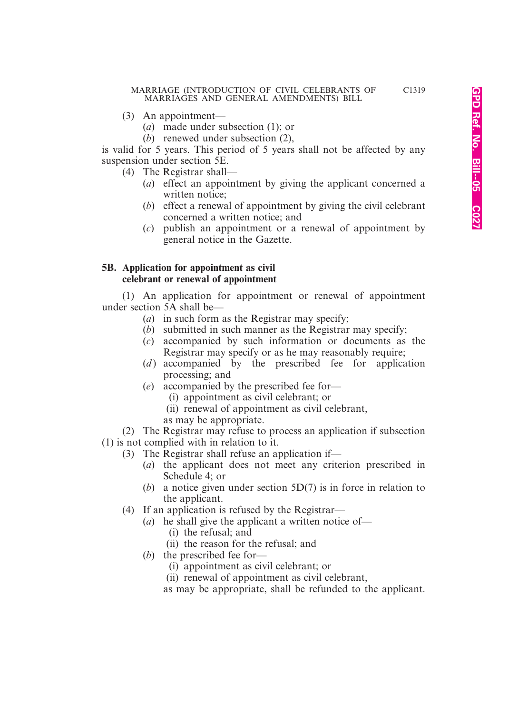- (3) An appointment—
	- (*a*) made under subsection (1); or
	- (*b*) renewed under subsection (2),

is valid for 5 years. This period of 5 years shall not be affected by any suspension under section 5E.

- (4) The Registrar shall—
	- (*a*) effect an appointment by giving the applicant concerned a written notice;
	- (*b*) effect a renewal of appointment by giving the civil celebrant concerned a written notice; and
	- (*c*) publish an appointment or a renewal of appointment by general notice in the Gazette.

#### **5B. Application for appointment as civil celebrant or renewal of appointment**

(1) An application for appointment or renewal of appointment under section 5A shall be—

- (*a*) in such form as the Registrar may specify;
- (*b*) submitted in such manner as the Registrar may specify;
- (*c*) accompanied by such information or documents as the Registrar may specify or as he may reasonably require;
- (*d*) accompanied by the prescribed fee for application processing; and
- (*e*) accompanied by the prescribed fee for—
	- (i) appointment as civil celebrant; or
	- (ii) renewal of appointment as civil celebrant,
	- as may be appropriate.

(2) The Registrar may refuse to process an application if subsection (1) is not complied with in relation to it.

- (3) The Registrar shall refuse an application if—
	- (*a*) the applicant does not meet any criterion prescribed in Schedule 4; or
	- (*b*) a notice given under section 5D(7) is in force in relation to the applicant.
	- (4) If an application is refused by the Registrar—
		- (*a*) he shall give the applicant a written notice of—
			- (i) the refusal; and
			- (ii) the reason for the refusal; and
		- (*b*) the prescribed fee for—
			- (i) appointment as civil celebrant; or
			- (ii) renewal of appointment as civil celebrant,
			- as may be appropriate, shall be refunded to the applicant.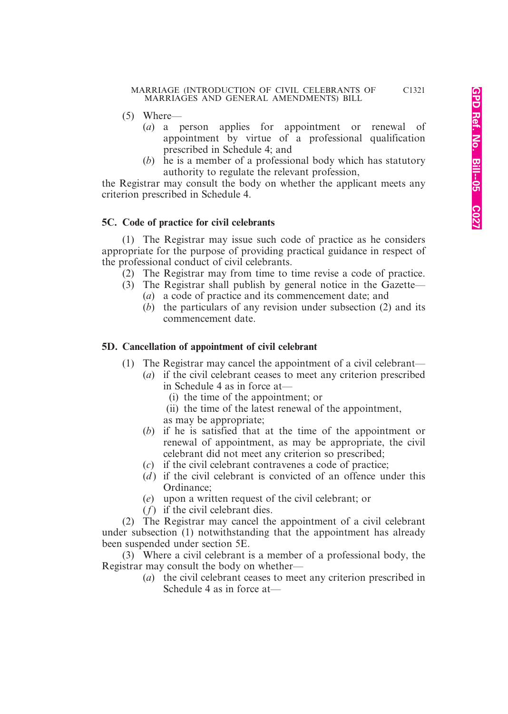- (5) Where—
	- (*a*) a person applies for appointment or renewal of appointment by virtue of a professional qualification prescribed in Schedule 4; and
	- (*b*) he is a member of a professional body which has statutory authority to regulate the relevant profession,

the Registrar may consult the body on whether the applicant meets any criterion prescribed in Schedule 4.

#### **5C. Code of practice for civil celebrants**

(1) The Registrar may issue such code of practice as he considers appropriate for the purpose of providing practical guidance in respect of the professional conduct of civil celebrants.

- (2) The Registrar may from time to time revise a code of practice.
- (3) The Registrar shall publish by general notice in the Gazette—
	- (*a*) a code of practice and its commencement date; and
	- (*b*) the particulars of any revision under subsection (2) and its commencement date.

#### **5D. Cancellation of appointment of civil celebrant**

- (1) The Registrar may cancel the appointment of a civil celebrant—
	- (*a*) if the civil celebrant ceases to meet any criterion prescribed in Schedule 4 as in force at—
		- (i) the time of the appointment; or
		- (ii) the time of the latest renewal of the appointment,
		- as may be appropriate;
	- (*b*) if he is satisfied that at the time of the appointment or renewal of appointment, as may be appropriate, the civil celebrant did not meet any criterion so prescribed;
	- (*c*) if the civil celebrant contravenes a code of practice;
	- (*d*) if the civil celebrant is convicted of an offence under this Ordinance;
	- (*e*) upon a written request of the civil celebrant; or
	- (*f*) if the civil celebrant dies.

(2) The Registrar may cancel the appointment of a civil celebrant under subsection (1) notwithstanding that the appointment has already been suspended under section 5E.

(3) Where a civil celebrant is a member of a professional body, the Registrar may consult the body on whether—

(*a*) the civil celebrant ceases to meet any criterion prescribed in Schedule 4 as in force at—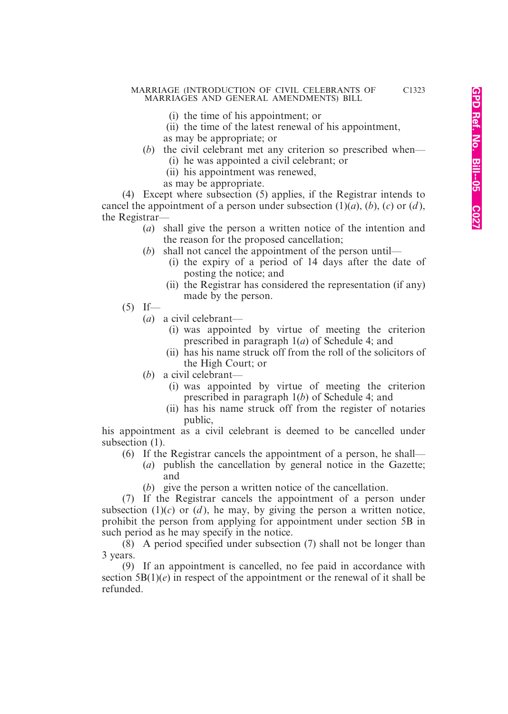- (i) the time of his appointment; or
- (ii) the time of the latest renewal of his appointment, as may be appropriate; or
- (*b*) the civil celebrant met any criterion so prescribed when—
	- (i) he was appointed a civil celebrant; or
	- (ii) his appointment was renewed,
	- as may be appropriate.

(4) Except where subsection (5) applies, if the Registrar intends to cancel the appointment of a person under subsection  $(1)(a)$ ,  $(b)$ ,  $(c)$  or  $(d)$ , the Registrar—

- (*a*) shall give the person a written notice of the intention and the reason for the proposed cancellation;
- (*b*) shall not cancel the appointment of the person until—
	- (i) the expiry of a period of 14 days after the date of posting the notice; and
		- (ii) the Registrar has considered the representation (if any) made by the person.
- $(5)$  If—
	- (*a*) a civil celebrant—
		- (i) was appointed by virtue of meeting the criterion prescribed in paragraph 1(*a*) of Schedule 4; and
		- (ii) has his name struck off from the roll of the solicitors of the High Court; or
	- (*b*) a civil celebrant—
		- (i) was appointed by virtue of meeting the criterion prescribed in paragraph 1(*b*) of Schedule 4; and
		- (ii) has his name struck off from the register of notaries public,

his appointment as a civil celebrant is deemed to be cancelled under subsection  $(1)$ .

- (6) If the Registrar cancels the appointment of a person, he shall—
	- (*a*) publish the cancellation by general notice in the Gazette; and
		- (*b*) give the person a written notice of the cancellation.

(7) If the Registrar cancels the appointment of a person under subsection  $(1)(c)$  or  $(d)$ , he may, by giving the person a written notice, prohibit the person from applying for appointment under section 5B in such period as he may specify in the notice.

(8) A period specified under subsection (7) shall not be longer than 3 years.

(9) If an appointment is cancelled, no fee paid in accordance with section  $5B(1)(e)$  in respect of the appointment or the renewal of it shall be refunded.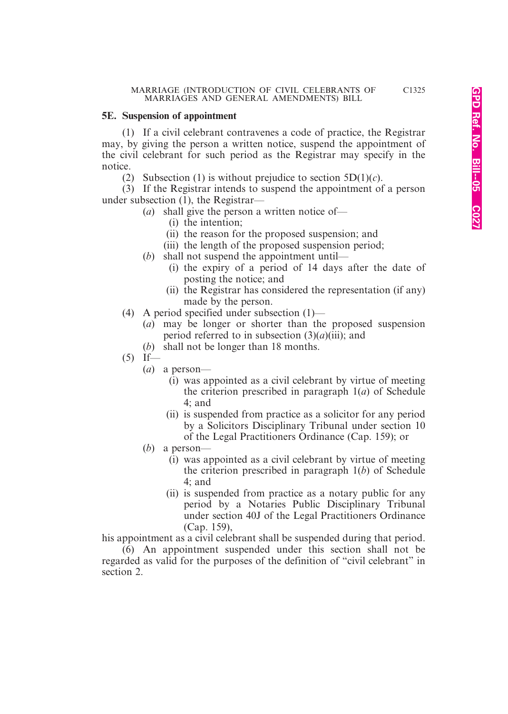#### **5E. Suspension of appointment**

(1) If a civil celebrant contravenes a code of practice, the Registrar may, by giving the person a written notice, suspend the appointment of the civil celebrant for such period as the Registrar may specify in the notice.

(2) Subsection (1) is without prejudice to section  $5D(1)(c)$ .

(3) If the Registrar intends to suspend the appointment of a person under subsection (1), the Registrar—

- (*a*) shall give the person a written notice of—
	- (i) the intention;
	- (ii) the reason for the proposed suspension; and
	- (iii) the length of the proposed suspension period;
- (*b*) shall not suspend the appointment until—
	- (i) the expiry of a period of 14 days after the date of posting the notice; and
	- (ii) the Registrar has considered the representation (if any) made by the person.
- (4) A period specified under subsection (1)—
	- (*a*) may be longer or shorter than the proposed suspension period referred to in subsection  $(3)(a)(iii)$ ; and
	- (*b*) shall not be longer than 18 months.
- $(5)$  If—
	- (*a*) a person—
		- (i) was appointed as a civil celebrant by virtue of meeting the criterion prescribed in paragraph 1(*a*) of Schedule 4; and
		- (ii) is suspended from practice as a solicitor for any period by a Solicitors Disciplinary Tribunal under section 10 of the Legal Practitioners Ordinance (Cap. 159); or
	- (*b*) a person—
		- (i) was appointed as a civil celebrant by virtue of meeting the criterion prescribed in paragraph 1(*b*) of Schedule 4; and
		- (ii) is suspended from practice as a notary public for any period by a Notaries Public Disciplinary Tribunal under section 40J of the Legal Practitioners Ordinance (Cap. 159),

his appointment as a civil celebrant shall be suspended during that period.

(6) An appointment suspended under this section shall not be regarded as valid for the purposes of the definition of "civil celebrant" in section 2.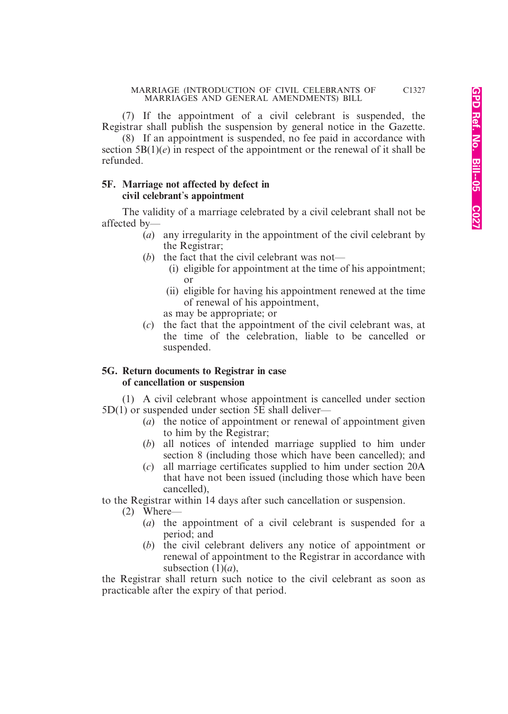(7) If the appointment of a civil celebrant is suspended, the Registrar shall publish the suspension by general notice in the Gazette.

(8) If an appointment is suspended, no fee paid in accordance with section  $5B(1)(e)$  in respect of the appointment or the renewal of it shall be refunded.

#### **5F. Marriage not affected by defect in civil celebrant**'**s appointment**

The validity of a marriage celebrated by a civil celebrant shall not be affected by—

- (*a*) any irregularity in the appointment of the civil celebrant by the Registrar;
- (b) the fact that the civil celebrant was not—
	- (i) eligible for appointment at the time of his appointment; or
	- (ii) eligible for having his appointment renewed at the time of renewal of his appointment,

as may be appropriate; or

(*c*) the fact that the appointment of the civil celebrant was, at the time of the celebration, liable to be cancelled or suspended.

#### **5G. Return documents to Registrar in case of cancellation or suspension**

(1) A civil celebrant whose appointment is cancelled under section 5D(1) or suspended under section 5E shall deliver—

- (*a*) the notice of appointment or renewal of appointment given to him by the Registrar;
- (*b*) all notices of intended marriage supplied to him under section 8 (including those which have been cancelled); and
- (*c*) all marriage certificates supplied to him under section 20A that have not been issued (including those which have been cancelled),

to the Registrar within 14 days after such cancellation or suspension.

- (2) Where—
	- (*a*) the appointment of a civil celebrant is suspended for a period; and
	- (*b*) the civil celebrant delivers any notice of appointment or renewal of appointment to the Registrar in accordance with subsection  $(1)(a)$ ,

the Registrar shall return such notice to the civil celebrant as soon as practicable after the expiry of that period.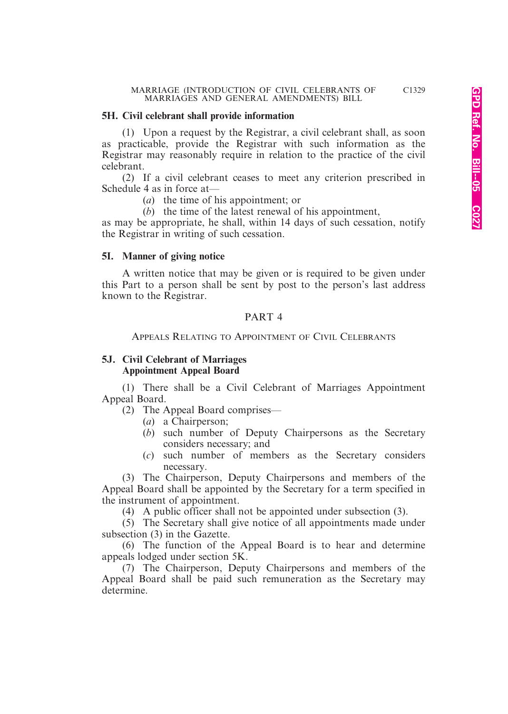#### **5H. Civil celebrant shall provide information**

(1) Upon a request by the Registrar, a civil celebrant shall, as soon as practicable, provide the Registrar with such information as the Registrar may reasonably require in relation to the practice of the civil celebrant.

(2) If a civil celebrant ceases to meet any criterion prescribed in Schedule 4 as in force at—

(*a*) the time of his appointment; or

(*b*) the time of the latest renewal of his appointment,

as may be appropriate, he shall, within 14 days of such cessation, notify the Registrar in writing of such cessation.

#### **5I. Manner of giving notice**

A written notice that may be given or is required to be given under this Part to a person shall be sent by post to the person's last address known to the Registrar.

#### PART 4

APPEALS RELATING TO APPOINTMENT OF CIVIL CELEBRANTS

#### **5J. Civil Celebrant of Marriages Appointment Appeal Board**

(1) There shall be a Civil Celebrant of Marriages Appointment Appeal Board.

(2) The Appeal Board comprises—

- (*a*) a Chairperson;
- (*b*) such number of Deputy Chairpersons as the Secretary considers necessary; and
- (*c*) such number of members as the Secretary considers necessary.

(3) The Chairperson, Deputy Chairpersons and members of the Appeal Board shall be appointed by the Secretary for a term specified in the instrument of appointment.

(4) A public officer shall not be appointed under subsection (3).

(5) The Secretary shall give notice of all appointments made under subsection (3) in the Gazette.

(6) The function of the Appeal Board is to hear and determine appeals lodged under section 5K.

(7) The Chairperson, Deputy Chairpersons and members of the Appeal Board shall be paid such remuneration as the Secretary may determine.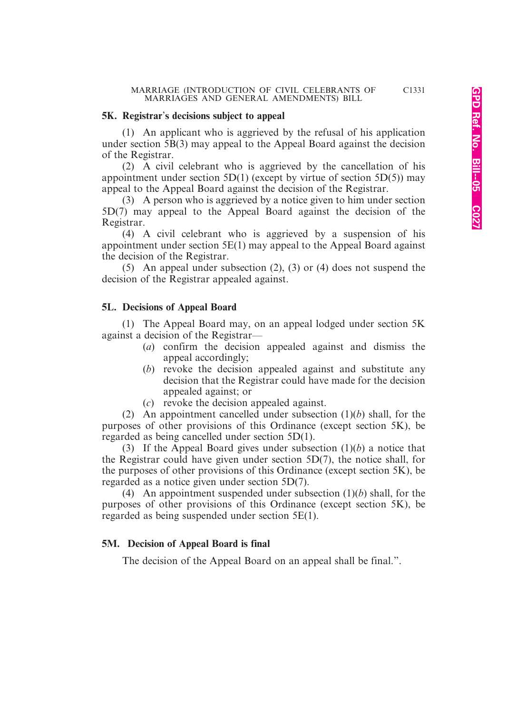#### **5K. Registrar**'**s decisions subject to appeal**

(1) An applicant who is aggrieved by the refusal of his application under section  $\overline{5B(3)}$  may appeal to the Appeal Board against the decision of the Registrar.

(2) A civil celebrant who is aggrieved by the cancellation of his appointment under section  $5D(1)$  (except by virtue of section  $5D(5)$ ) may appeal to the Appeal Board against the decision of the Registrar.

(3) A person who is aggrieved by a notice given to him under section 5D(7) may appeal to the Appeal Board against the decision of the Registrar.

(4) A civil celebrant who is aggrieved by a suspension of his appointment under section 5E(1) may appeal to the Appeal Board against the decision of the Registrar.

(5) An appeal under subsection (2), (3) or (4) does not suspend the decision of the Registrar appealed against.

#### **5L. Decisions of Appeal Board**

(1) The Appeal Board may, on an appeal lodged under section 5K against a decision of the Registrar—

- (*a*) confirm the decision appealed against and dismiss the appeal accordingly;
- (*b*) revoke the decision appealed against and substitute any decision that the Registrar could have made for the decision appealed against; or
- (*c*) revoke the decision appealed against.

(2) An appointment cancelled under subsection (1)(*b*) shall, for the purposes of other provisions of this Ordinance (except section 5K), be regarded as being cancelled under section 5D(1).

(3) If the Appeal Board gives under subsection (1)(*b*) a notice that the Registrar could have given under section 5D(7), the notice shall, for the purposes of other provisions of this Ordinance (except section 5K), be regarded as a notice given under section 5D(7).

(4) An appointment suspended under subsection (1)(*b*) shall, for the purposes of other provisions of this Ordinance (except section 5K), be regarded as being suspended under section 5E(1).

#### **5M. Decision of Appeal Board is final**

The decision of the Appeal Board on an appeal shall be final.".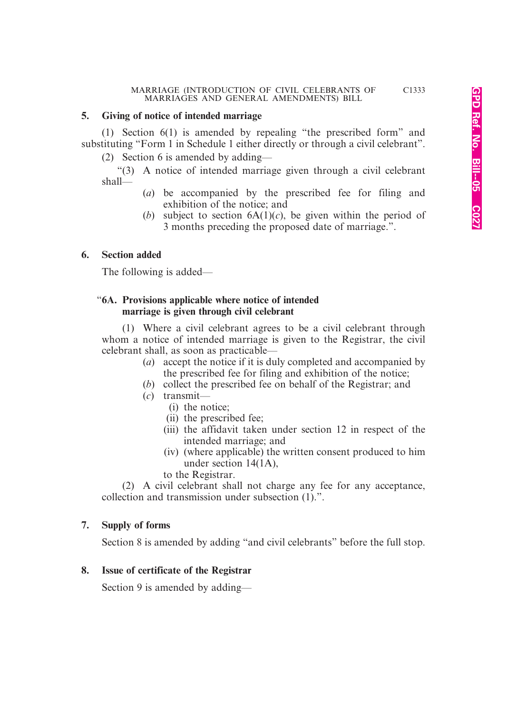#### **5. Giving of notice of intended marriage**

(1) Section 6(1) is amended by repealing "the prescribed form" and substituting "Form 1 in Schedule 1 either directly or through a civil celebrant".

(2) Section 6 is amended by adding—

"(3) A notice of intended marriage given through a civil celebrant shall—

- (*a*) be accompanied by the prescribed fee for filing and exhibition of the notice; and
- (*b*) subject to section  $6A(1)(c)$ , be given within the period of 3 months preceding the proposed date of marriage.".

#### **6. Section added**

The following is added—

#### "**6A. Provisions applicable where notice of intended marriage is given through civil celebrant**

(1) Where a civil celebrant agrees to be a civil celebrant through whom a notice of intended marriage is given to the Registrar, the civil celebrant shall, as soon as practicable—

- (*a*) accept the notice if it is duly completed and accompanied by the prescribed fee for filing and exhibition of the notice;
- (*b*) collect the prescribed fee on behalf of the Registrar; and
- (*c*) transmit—
	- (i) the notice;
	- (ii) the prescribed fee;
	- (iii) the affidavit taken under section 12 in respect of the intended marriage; and
	- (iv) (where applicable) the written consent produced to him under section 14(1A),
	- to the Registrar.

(2) A civil celebrant shall not charge any fee for any acceptance, collection and transmission under subsection (1).".

#### **7. Supply of forms**

Section 8 is amended by adding "and civil celebrants" before the full stop.

#### **8. Issue of certificate of the Registrar**

Section 9 is amended by adding—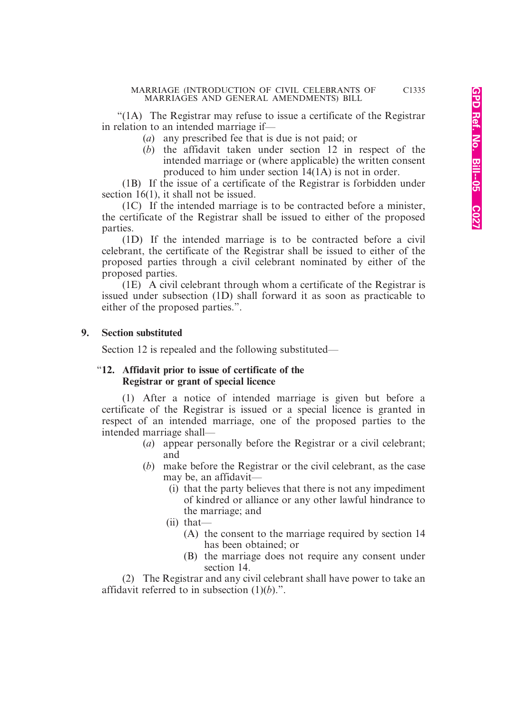"(1A) The Registrar may refuse to issue a certificate of the Registrar in relation to an intended marriage if—

- (*a*) any prescribed fee that is due is not paid; or
- (*b*) the affidavit taken under section 12 in respect of the intended marriage or (where applicable) the written consent produced to him under section 14(1A) is not in order.

(1B) If the issue of a certificate of the Registrar is forbidden under section 16(1), it shall not be issued.

(1C) If the intended marriage is to be contracted before a minister, the certificate of the Registrar shall be issued to either of the proposed parties.

(1D) If the intended marriage is to be contracted before a civil celebrant, the certificate of the Registrar shall be issued to either of the proposed parties through a civil celebrant nominated by either of the proposed parties.

(1E) A civil celebrant through whom a certificate of the Registrar is issued under subsection (1D) shall forward it as soon as practicable to either of the proposed parties.".

#### **9. Section substituted**

Section 12 is repealed and the following substituted—

#### "**12. Affidavit prior to issue of certificate of the Registrar or grant of special licence**

(1) After a notice of intended marriage is given but before a certificate of the Registrar is issued or a special licence is granted in respect of an intended marriage, one of the proposed parties to the intended marriage shall—

- (*a*) appear personally before the Registrar or a civil celebrant; and
- (*b*) make before the Registrar or the civil celebrant, as the case may be, an affidavit—
	- (i) that the party believes that there is not any impediment of kindred or alliance or any other lawful hindrance to the marriage; and
	- (ii) that—
		- (A) the consent to the marriage required by section 14 has been obtained; or
		- (B) the marriage does not require any consent under section 14

(2) The Registrar and any civil celebrant shall have power to take an affidavit referred to in subsection (1)(*b*).".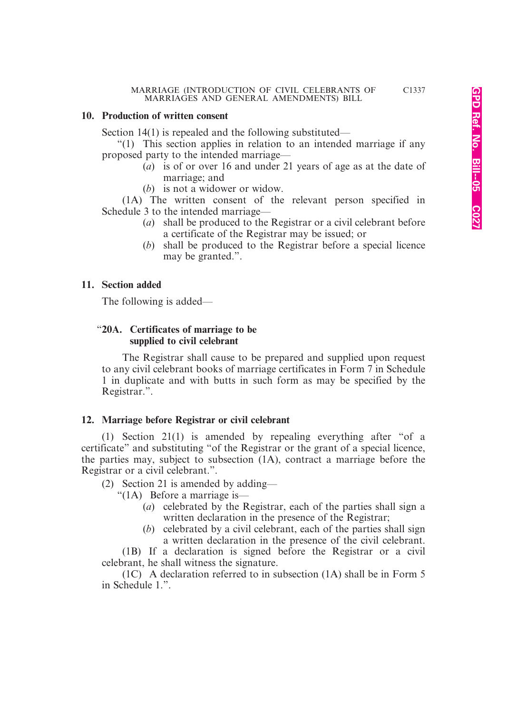#### **10. Production of written consent**

Section 14(1) is repealed and the following substituted—

"(1) This section applies in relation to an intended marriage if any proposed party to the intended marriage—

- (*a*) is of or over 16 and under 21 years of age as at the date of marriage; and
- (*b*) is not a widower or widow.

(1A) The written consent of the relevant person specified in Schedule 3 to the intended marriage—

- (*a*) shall be produced to the Registrar or a civil celebrant before a certificate of the Registrar may be issued; or
- (*b*) shall be produced to the Registrar before a special licence may be granted.".

#### **11. Section added**

The following is added—

#### "**20A. Certificates of marriage to be supplied to civil celebrant**

The Registrar shall cause to be prepared and supplied upon request to any civil celebrant books of marriage certificates in Form 7 in Schedule 1 in duplicate and with butts in such form as may be specified by the Registrar.".

#### **12. Marriage before Registrar or civil celebrant**

(1) Section 21(1) is amended by repealing everything after "of a certificate" and substituting "of the Registrar or the grant of a special licence, the parties may, subject to subsection (1A), contract a marriage before the Registrar or a civil celebrant.".

(2) Section 21 is amended by adding—

"(1A) Before a marriage is—

- (*a*) celebrated by the Registrar, each of the parties shall sign a written declaration in the presence of the Registrar;
- (*b*) celebrated by a civil celebrant, each of the parties shall sign a written declaration in the presence of the civil celebrant.

(1B) If a declaration is signed before the Registrar or a civil celebrant, he shall witness the signature.

(1C) A declaration referred to in subsection (1A) shall be in Form 5 in Schedule 1.".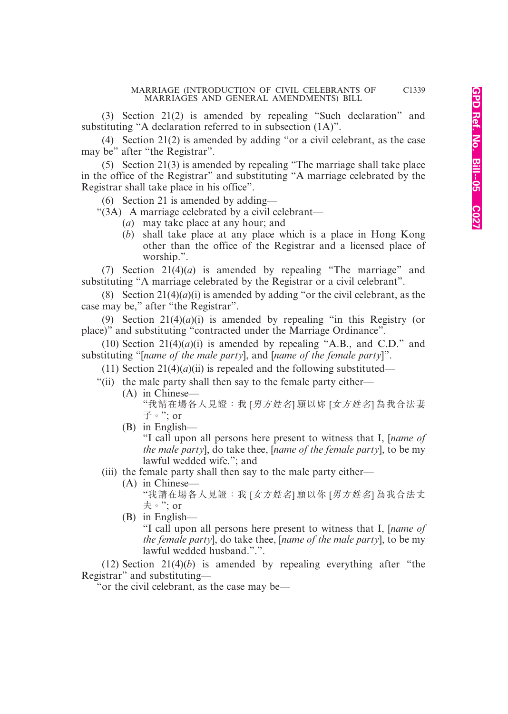(3) Section 21(2) is amended by repealing "Such declaration" and substituting "A declaration referred to in subsection (1A)".

(4) Section 21(2) is amended by adding "or a civil celebrant, as the case may be" after "the Registrar".

(5) Section 21(3) is amended by repealing "The marriage shall take place in the office of the Registrar" and substituting "A marriage celebrated by the Registrar shall take place in his office".

(6) Section 21 is amended by adding—

"(3A) A marriage celebrated by a civil celebrant—

- (*a*) may take place at any hour; and
- (*b*) shall take place at any place which is a place in Hong Kong other than the office of the Registrar and a licensed place of worship.".

(7) Section 21(4)(*a*) is amended by repealing "The marriage" and substituting "A marriage celebrated by the Registrar or a civil celebrant".

(8) Section  $21(4)(a)(i)$  is amended by adding "or the civil celebrant, as the case may be," after "the Registrar".

(9) Section  $21(4)(a)(i)$  is amended by repealing "in this Registry (or place)" and substituting "contracted under the Marriage Ordinance".

(10) Section  $21(4)(a)(i)$  is amended by repealing "A.B., and C.D." and substituting "[*name of the male party*], and [*name of the female party*]".

(11) Section  $21(4)(a)(ii)$  is repealed and the following substituted—

"(ii) the male party shall then say to the female party either—

- (A) in Chinese— "我請在場各人見證:我 [男方姓名] 願以妳 [女方姓名] 為我合法妻  $\vec{\pm}$   $\cdot$  ": or
- (B) in English—

"I call upon all persons here present to witness that I, [*name of the male party*], do take thee, [*name of the female party*], to be my lawful wedded wife."; and

(iii) the female party shall then say to the male party either—

(A) in Chinese—

"我請在場各人見證:我 [女方姓名] 願以你 [男方姓名] 為我合法丈 夫。"; or

(B) in English—

"I call upon all persons here present to witness that I, [*name of the female party*], do take thee, [*name of the male party*], to be my lawful wedded husband.".".

(12) Section  $21(4)(b)$  is amended by repealing everything after "the Registrar" and substituting—

"or the civil celebrant, as the case may be—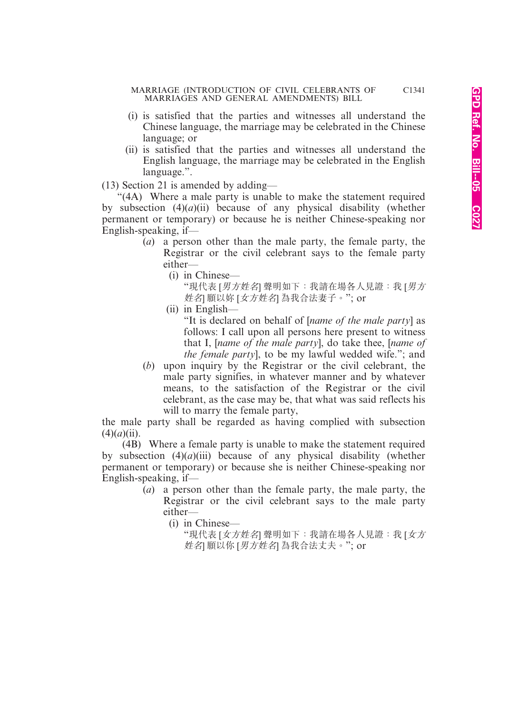- (i) is satisfied that the parties and witnesses all understand the Chinese language, the marriage may be celebrated in the Chinese language; or
- (ii) is satisfied that the parties and witnesses all understand the English language, the marriage may be celebrated in the English language.".

(13) Section 21 is amended by adding—

"(4A) Where a male party is unable to make the statement required by subsection  $(4)(a)(ii)$  because of any physical disability (whether permanent or temporary) or because he is neither Chinese-speaking nor English-speaking, if—

- (*a*) a person other than the male party, the female party, the Registrar or the civil celebrant says to the female party either—
	- (i) in Chinese—

"現代表 [男方姓名] 聲明如下: 我請在場各人見證: 我 [男方 姓名] 願以妳 [女方姓名] 為我合法妻子。"; or

(ii) in English—

"It is declared on behalf of [*name of the male party*] as follows: I call upon all persons here present to witness that I, [*name of the male party*], do take thee, [*name of the female party*], to be my lawful wedded wife."; and

(*b*) upon inquiry by the Registrar or the civil celebrant, the male party signifies, in whatever manner and by whatever means, to the satisfaction of the Registrar or the civil celebrant, as the case may be, that what was said reflects his will to marry the female party,

the male party shall be regarded as having complied with subsection (4)(*a*)(ii).

(4B) Where a female party is unable to make the statement required by subsection  $(4)(a)(iii)$  because of any physical disability (whether permanent or temporary) or because she is neither Chinese-speaking nor English-speaking, if—

- (*a*) a person other than the female party, the male party, the Registrar or the civil celebrant says to the male party either—
	- (i) in Chinese—

"現代表 [女方姓名] 聲明如下:我請在場各人見證:我 [女方 姓名] 願以你 [男方姓名] 為我合法丈夫。"; or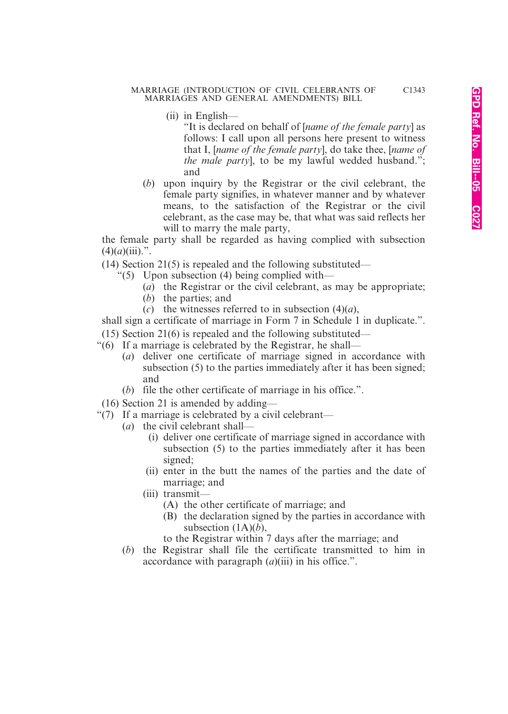- (ii) in English—
	- "It is declared on behalf of [*name of the female party*] as follows: I call upon all persons here present to witness that I, [*name of the female party*], do take thee, [*name of the male party*], to be my lawful wedded husband."; and
- (*b*) upon inquiry by the Registrar or the civil celebrant, the female party signifies, in whatever manner and by whatever means, to the satisfaction of the Registrar or the civil celebrant, as the case may be, that what was said reflects her will to marry the male party,

the female party shall be regarded as having complied with subsection  $(4)(a)(iii)$ .".

(14) Section 21(5) is repealed and the following substituted—

- "(5) Upon subsection (4) being complied with—
	- (*a*) the Registrar or the civil celebrant, as may be appropriate;
	- (*b*) the parties; and
	- $(c)$  the witnesses referred to in subsection  $(4)(a)$ ,

shall sign a certificate of marriage in Form 7 in Schedule 1 in duplicate.".

- (15) Section 21(6) is repealed and the following substituted—
- "(6) If a marriage is celebrated by the Registrar, he shall—
	- (*a*) deliver one certificate of marriage signed in accordance with subsection (5) to the parties immediately after it has been signed; and
	- (*b*) file the other certificate of marriage in his office.".
- (16) Section 21 is amended by adding—
- "(7) If a marriage is celebrated by a civil celebrant—
	- (*a*) the civil celebrant shall—
		- (i) deliver one certificate of marriage signed in accordance with subsection (5) to the parties immediately after it has been signed;
		- (ii) enter in the butt the names of the parties and the date of marriage; and
		- (iii) transmit—
			- (A) the other certificate of marriage; and
			- (B) the declaration signed by the parties in accordance with subsection (1A)(*b*),

to the Registrar within 7 days after the marriage; and

(*b*) the Registrar shall file the certificate transmitted to him in accordance with paragraph (*a*)(iii) in his office.".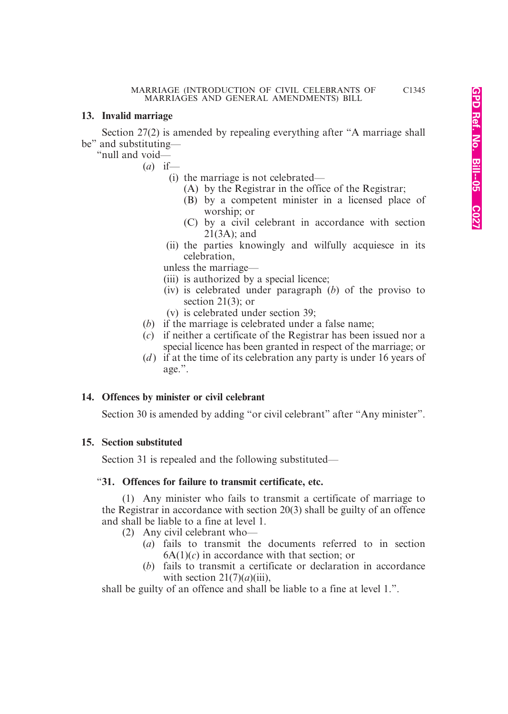#### **13. Invalid marriage**

Section 27(2) is amended by repealing everything after "A marriage shall be" and substituting—

"null and void—

(*a*) if—

(i) the marriage is not celebrated—

- (A) by the Registrar in the office of the Registrar;
- (B) by a competent minister in a licensed place of worship; or
- (C) by a civil celebrant in accordance with section 21(3A); and
- (ii) the parties knowingly and wilfully acquiesce in its celebration,

unless the marriage—

- (iii) is authorized by a special licence;
- (iv) is celebrated under paragraph (*b*) of the proviso to section 21(3); or
- (v) is celebrated under section 39;
- (*b*) if the marriage is celebrated under a false name;
- (*c*) if neither a certificate of the Registrar has been issued nor a special licence has been granted in respect of the marriage; or
- (*d* ) if at the time of its celebration any party is under 16 years of age.".

#### **14. Offences by minister or civil celebrant**

Section 30 is amended by adding "or civil celebrant" after "Any minister".

#### **15. Section substituted**

Section 31 is repealed and the following substituted—

#### "**31. Offences for failure to transmit certificate, etc.**

(1) Any minister who fails to transmit a certificate of marriage to the Registrar in accordance with section 20(3) shall be guilty of an offence and shall be liable to a fine at level 1.

- (2) Any civil celebrant who—
	- (*a*) fails to transmit the documents referred to in section  $6A(1)(c)$  in accordance with that section; or
	- (*b*) fails to transmit a certificate or declaration in accordance with section  $21(7)(a)(iii)$ .

shall be guilty of an offence and shall be liable to a fine at level 1.".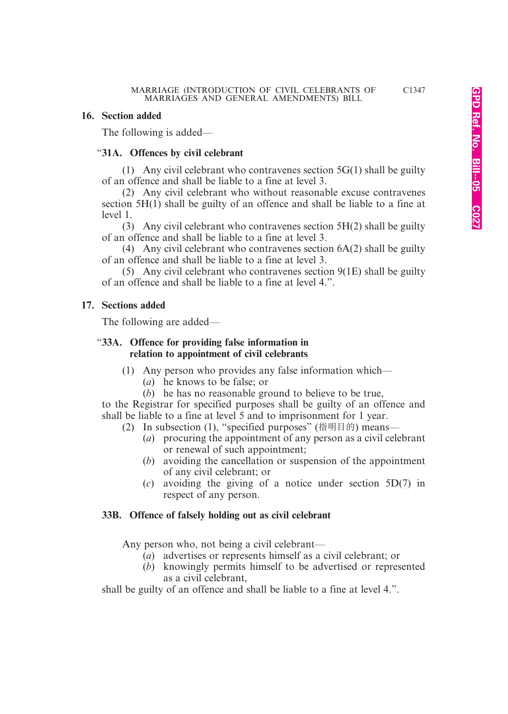#### **16. Section added**

The following is added—

#### "**31A. Offences by civil celebrant**

(1) Any civil celebrant who contravenes section  $5G(1)$  shall be guilty of an offence and shall be liable to a fine at level 3.

(2) Any civil celebrant who without reasonable excuse contravenes section 5H(1) shall be guilty of an offence and shall be liable to a fine at level 1.

(3) Any civil celebrant who contravenes section 5H(2) shall be guilty of an offence and shall be liable to a fine at level 3.

(4) Any civil celebrant who contravenes section 6A(2) shall be guilty of an offence and shall be liable to a fine at level 3.

(5) Any civil celebrant who contravenes section 9(1E) shall be guilty of an offence and shall be liable to a fine at level 4.".

#### **17. Sections added**

The following are added—

#### "**33A. Offence for providing false information in relation to appointment of civil celebrants**

- (1) Any person who provides any false information which—
	- (*a*) he knows to be false; or
	- (*b*) he has no reasonable ground to believe to be true,

to the Registrar for specified purposes shall be guilty of an offence and shall be liable to a fine at level 5 and to imprisonment for 1 year.

- (2) In subsection (1), "specified purposes" (指明目的) means—
	- (*a*) procuring the appointment of any person as a civil celebrant or renewal of such appointment;
	- (*b*) avoiding the cancellation or suspension of the appointment of any civil celebrant; or
	- (*c*) avoiding the giving of a notice under section 5D(7) in respect of any person.

#### **33B. Offence of falsely holding out as civil celebrant**

Any person who, not being a civil celebrant—

- (*a*) advertises or represents himself as a civil celebrant; or
- (*b*) knowingly permits himself to be advertised or represented as a civil celebrant,

shall be guilty of an offence and shall be liable to a fine at level 4.".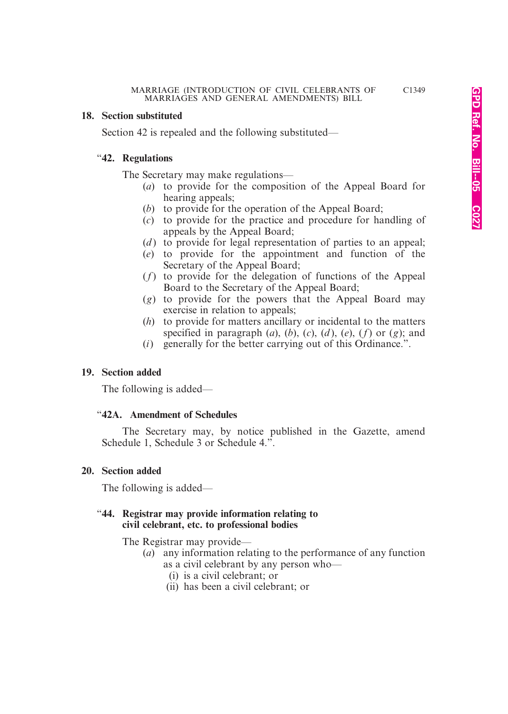#### **18. Section substituted**

Section 42 is repealed and the following substituted—

#### "**42. Regulations**

The Secretary may make regulations—

- (*a*) to provide for the composition of the Appeal Board for hearing appeals;
- (*b*) to provide for the operation of the Appeal Board;
- (*c*) to provide for the practice and procedure for handling of appeals by the Appeal Board;
- $(d)$  to provide for legal representation of parties to an appeal;
- (*e*) to provide for the appointment and function of the Secretary of the Appeal Board;
- (*f*) to provide for the delegation of functions of the Appeal Board to the Secretary of the Appeal Board;
- (*g*) to provide for the powers that the Appeal Board may exercise in relation to appeals;
- (*h*) to provide for matters ancillary or incidental to the matters specified in paragraph  $(a)$ ,  $(b)$ ,  $(c)$ ,  $(d)$ ,  $(e)$ ,  $(f)$  or  $(g)$ ; and
- (*i*) generally for the better carrying out of this Ordinance.".

#### **19. Section added**

The following is added—

#### "**42A. Amendment of Schedules**

The Secretary may, by notice published in the Gazette, amend Schedule 1, Schedule 3 or Schedule 4.".

#### **20. Section added**

The following is added—

#### "**44. Registrar may provide information relating to civil celebrant, etc. to professional bodies**

The Registrar may provide—

- (*a*) any information relating to the performance of any function as a civil celebrant by any person who—
	- (i) is a civil celebrant; or
	- (ii) has been a civil celebrant; or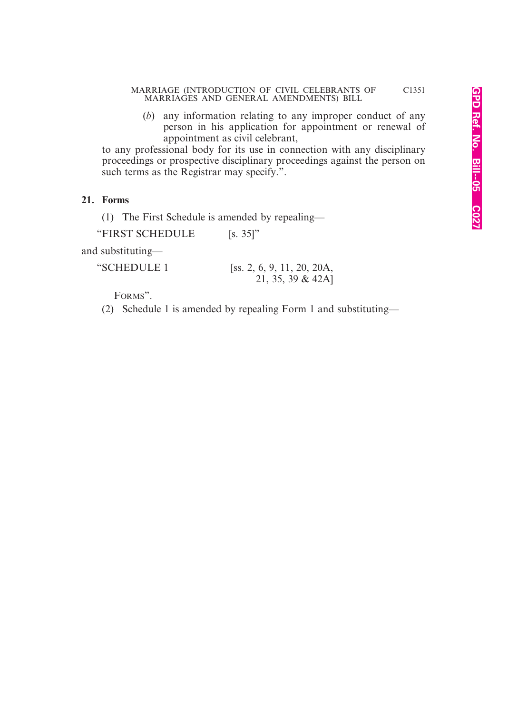(*b*) any information relating to any improper conduct of any person in his application for appointment or renewal of appointment as civil celebrant,

to any professional body for its use in connection with any disciplinary proceedings or prospective disciplinary proceedings against the person on such terms as the Registrar may specify.".

#### **21. Forms**

(1) The First Schedule is amended by repealing—

"FIRST SCHEDULE [s. 35]"

and substituting—

| "SCHEDULE 1 | [ss. 2, 6, 9, 11, 20, 20A, |
|-------------|----------------------------|
|             | 21, 35, 39 & 42A]          |

FORMS".

(2) Schedule 1 is amended by repealing Form 1 and substituting—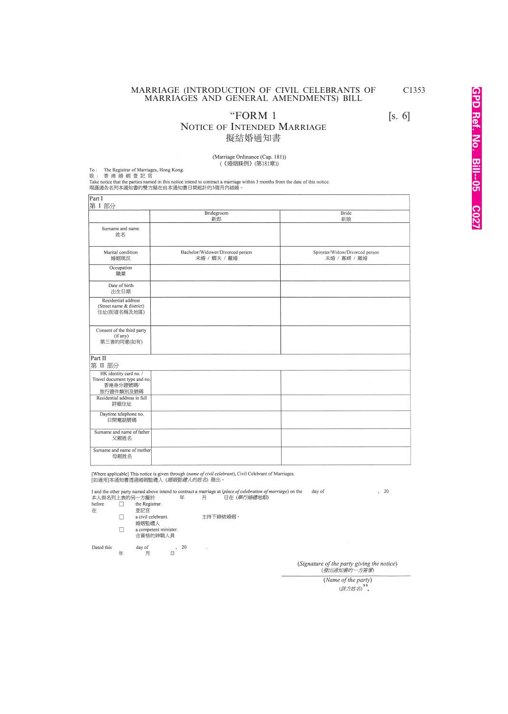"FORM  $1$  [s. 6]

#### NOTICE OF INTENDED MARRIAGE 擬結婚通知書

(Marriage Ordinance (Cap. 181)) (《婚姻條例》(第181章))

To: The Registrar of Marriages, Hong Kong<br>致: 香港婚姻登記官

Take notice that the parties named in this notice intend to contract a marriage within 3 months from the date of this notice. 現謹通告名列本通知書的雙方擬在自本通知書日期起計的3個月內結婚。

| Part I<br>第 I 部分                                                                |                                                  |                                                |
|---------------------------------------------------------------------------------|--------------------------------------------------|------------------------------------------------|
|                                                                                 | Bridegroom<br>新郎                                 | Bride<br>新娘                                    |
| Surname and name<br>姓名                                                          |                                                  |                                                |
| Marital condition<br>婚姻現況                                                       | Bachelor/Widower/Divorced person<br>未婚 / 鰥夫 / 離婚 | Spinster/Widow/Divorced person<br>未婚 / 寡婦 / 離婚 |
| Occupation<br>職業                                                                |                                                  |                                                |
| Date of birth<br>出生日期                                                           |                                                  |                                                |
| Residential address<br>(Street name & district)<br>住址(街道名稱及地區)                  |                                                  |                                                |
| Consent of the third party<br>(if any)<br>第三者的同意(如有)                            |                                                  |                                                |
| Part II<br>第 II 部分                                                              |                                                  |                                                |
| HK identity card no. /<br>Travel document type and no.<br>香港身分證號碼/<br>旅行證件類別及號碼 |                                                  |                                                |
| Residential address in full<br>詳細住址                                             |                                                  |                                                |
| Daytime telephone no.<br>日間電話號碼                                                 |                                                  |                                                |
| Surname and name of father<br>父親姓名                                              |                                                  |                                                |
| Surname and name of mother<br>母親姓名                                              |                                                  |                                                |

[Where applicable] This notice is given through (name of civil celebrant), Civil Celebrant of Marriages. [如適用]本通知書透過婚姻監禮人 (*婚姻監禮人的姓名*) 發出。

I and the other party named above intend to contract a marriage at (place of celebration of marriage) on the day of  $, 20$ 日在 (學行婚禮地點) 本人與名列上表的另一方擬於 年 月

before  $\Box$ the Registrar 在

登記官  $\Box$  $a$  civil celebrant. 主持下締結婚姻。 婚姻監禮人  $\Box$ a competent minister. 合資格的神職人員

 $\begin{array}{cc} , & 20 \\ \square & \end{array}$  $\textrm{day}$  of Dated this 年 月

(Signature of the party giving the notice)<br>(發出通知書的一方簽署)

(Name of the party) (該方姓名)".

C1353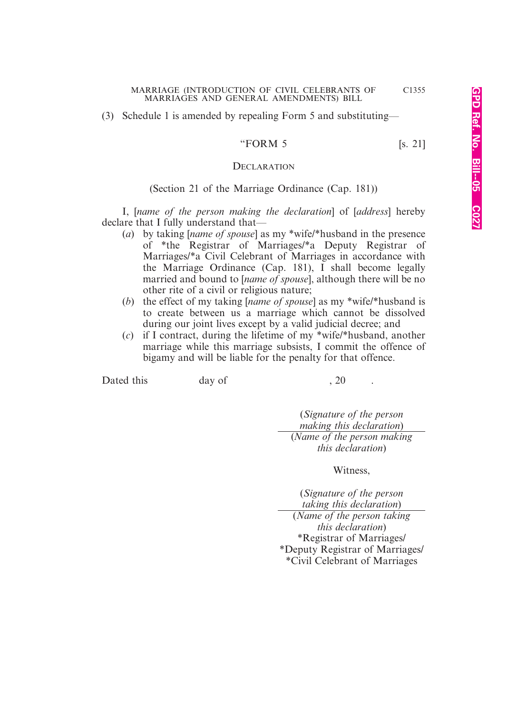(3) Schedule 1 is amended by repealing Form 5 and substituting—

#### "FORM  $5$  [s. 21]

#### **DECLARATION**

#### (Section 21 of the Marriage Ordinance (Cap. 181))

I, [*name of the person making the declaration*] of [*address*] hereby declare that I fully understand that—

- (*a*) by taking [*name of spouse*] as my \*wife/\*husband in the presence of \*the Registrar of Marriages/\*a Deputy Registrar of Marriages/\*a Civil Celebrant of Marriages in accordance with the Marriage Ordinance (Cap. 181), I shall become legally married and bound to [*name of spouse*], although there will be no other rite of a civil or religious nature;
- (*b*) the effect of my taking [*name of spouse*] as my \*wife/\*husband is to create between us a marriage which cannot be dissolved during our joint lives except by a valid judicial decree; and
- (*c*) if I contract, during the lifetime of my \*wife/\*husband, another marriage while this marriage subsists, I commit the offence of bigamy and will be liable for the penalty for that offence.

Dated this day of , 20

(*Signature of the person making this declaration*) (*Name of the person making this declaration*)

Witness,

(*Signature of the person taking this declaration*) (*Name of the person taking this declaration*) \*Registrar of Marriages/ \*Deputy Registrar of Marriages/ \*Civil Celebrant of Marriages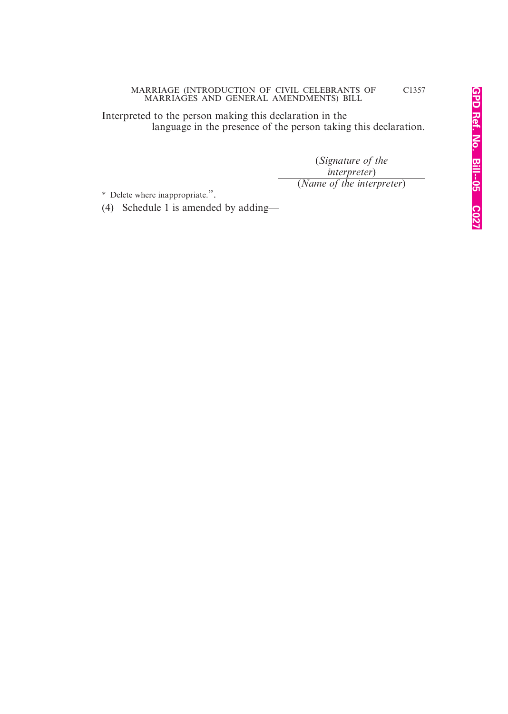Interpreted to the person making this declaration in the language in the presence of the person taking this declaration.

> (*Signature of the interpreter*) (*Name of the interpreter*)

\* Delete where inappropriate.".

(4) Schedule 1 is amended by adding—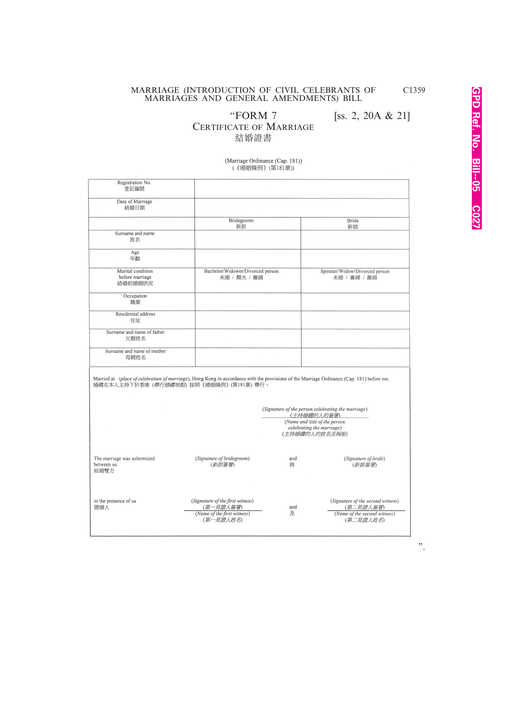"FORM 7 [ss. 2, 20A & 21]

CERTIFICATE OF MARRIAGE

結婚證書

(Marriage Ordinance (Cap. 181))

namage oramance (cap. 15<br>(《婚姻條例》(第181章))

| Registration No.<br>登記編號                                                                                                                                                                        |                                                                                           |                                                                              |                                                                                             |
|-------------------------------------------------------------------------------------------------------------------------------------------------------------------------------------------------|-------------------------------------------------------------------------------------------|------------------------------------------------------------------------------|---------------------------------------------------------------------------------------------|
| Date of Marriage<br>結婚日期                                                                                                                                                                        |                                                                                           |                                                                              |                                                                                             |
|                                                                                                                                                                                                 | Bridegroom<br>新郎                                                                          |                                                                              | Bride<br>新娘                                                                                 |
| Surname and name<br>姓名                                                                                                                                                                          |                                                                                           |                                                                              |                                                                                             |
| Age<br>年齡                                                                                                                                                                                       |                                                                                           |                                                                              |                                                                                             |
| Marital condition<br>before marriage<br>結婚前婚姻狀況                                                                                                                                                 | Bachelor/Widower/Divorced person<br>未婚 / 鰥夫 / 離婚                                          |                                                                              | Spinster/Widow/Divorced person<br>未婚 / 寡婦 / 離婚                                              |
| Occupation<br>職業                                                                                                                                                                                |                                                                                           |                                                                              |                                                                                             |
| Residential address<br>住址                                                                                                                                                                       |                                                                                           |                                                                              |                                                                                             |
| Sumame and name of father<br>父親姓名                                                                                                                                                               |                                                                                           |                                                                              |                                                                                             |
| Surname and name of mother<br>母親姓名                                                                                                                                                              |                                                                                           |                                                                              |                                                                                             |
| Married at (place of celebration of marriage), Hong Kong in accordance with the provisions of the Marriage Ordinance (Cap. 181) before me.<br>婚禮在本人主持下於香港 ( <i>舉行婚禮地點</i> ) 按照《婚姻條例》(第181章) 舉行。 |                                                                                           |                                                                              |                                                                                             |
|                                                                                                                                                                                                 |                                                                                           | (Signature of the person celebrating the marriage)<br>(主持婚禮的人的簽署)            |                                                                                             |
|                                                                                                                                                                                                 |                                                                                           | (Name and title of the person<br>celebrating the marriage)<br>(主持婚禮的人的姓名及稱銜) |                                                                                             |
| The marriage was solemnized<br>between us<br>結婚雙方                                                                                                                                               | (Signature of bridegroom)<br>(新郎答署)                                                       | and<br>皥                                                                     | (Signature of bride)<br>(新娘等署)                                                              |
| in the presence of us<br>證婚人                                                                                                                                                                    | (Signature of the first witness)<br>(第一見證人簽署)<br>(Name of the first witness)<br>(第一見證人姓名) | and<br>及                                                                     | (Signature of the second witness)<br>(第二見證人簽署)<br>(Name of the second witness)<br>(第二見證人姓名) |
|                                                                                                                                                                                                 |                                                                                           |                                                                              |                                                                                             |

".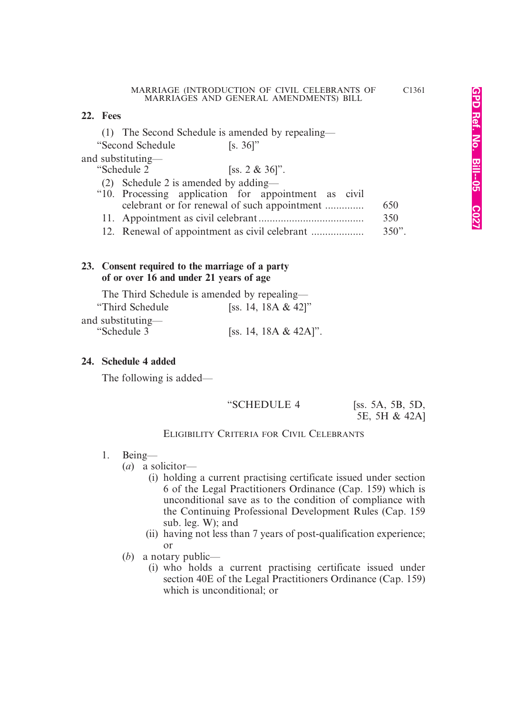#### **22. Fees**

(1) The Second Schedule is amended by repealing—

"Second Schedule [s. 36]"

and substituting—

| "Schedule 2<br>[ss. $2 \& 36$ ]".                                                                                                                                                                                   |     |
|---------------------------------------------------------------------------------------------------------------------------------------------------------------------------------------------------------------------|-----|
| (2) Schedule 2 is amended by adding—                                                                                                                                                                                |     |
| "10. Processing application for appointment as civil                                                                                                                                                                |     |
| celebrant or for renewal of such appointment                                                                                                                                                                        | 650 |
|                                                                                                                                                                                                                     | 350 |
| $\mathbf{A} \bullet \mathbf{B}$ and $\mathbf{A} \bullet \mathbf{A}$ and $\mathbf{A} \bullet \mathbf{A}$ and $\mathbf{A} \bullet \mathbf{A}$ and $\mathbf{A} \bullet \mathbf{A}$ and $\mathbf{A} \bullet \mathbf{A}$ |     |

12. Renewal of appointment as civil celebrant ................... 350".

#### **23. Consent required to the marriage of a party of or over 16 and under 21 years of age**

|                   | The Third Schedule is amended by repealing— |
|-------------------|---------------------------------------------|
| "Third Schedule"  | [ss. 14, 18A & 42]"                         |
| and substituting— |                                             |
| "Schedule 3"      | [ss. 14, 18A & 42A]".                       |

#### **24. Schedule 4 added**

The following is added—

## "SCHEDULE 4 [ss. 5A, 5B, 5D,

5E, 5H & 42A]

#### ELIGIBILITY CRITERIA FOR CIVIL CELEBRANTS

#### 1. Being—

(*a*) a solicitor—

- (i) holding a current practising certificate issued under section 6 of the Legal Practitioners Ordinance (Cap. 159) which is unconditional save as to the condition of compliance with the Continuing Professional Development Rules (Cap. 159 sub. leg. W); and
- (ii) having not less than 7 years of post-qualification experience; or
- (*b*) a notary public—
	- (i) who holds a current practising certificate issued under section 40E of the Legal Practitioners Ordinance (Cap. 159) which is unconditional; or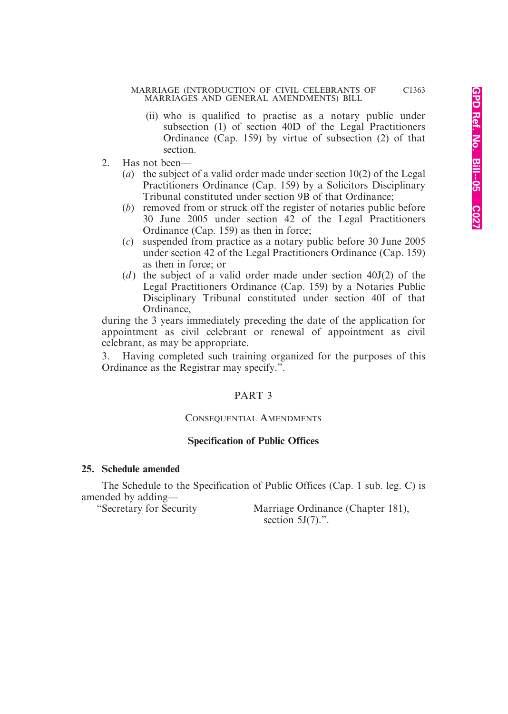- (ii) who is qualified to practise as a notary public under subsection (1) of section 40D of the Legal Practitioners Ordinance (Cap. 159) by virtue of subsection (2) of that section.
- 2. Has not been—
	- (*a*) the subject of a valid order made under section 10(2) of the Legal Practitioners Ordinance (Cap. 159) by a Solicitors Disciplinary Tribunal constituted under section 9B of that Ordinance;
	- (*b*) removed from or struck off the register of notaries public before 30 June 2005 under section  $42$  of the Legal Practitioners Ordinance (Cap. 159) as then in force;
	- (*c*) suspended from practice as a notary public before 30 June 2005 under section 42 of the Legal Practitioners Ordinance (Cap. 159) as then in force; or
	- $(d)$  the subject of a valid order made under section  $40J(2)$  of the Legal Practitioners Ordinance (Cap. 159) by a Notaries Public Disciplinary Tribunal constituted under section 40I of that Ordinance,

during the 3 years immediately preceding the date of the application for appointment as civil celebrant or renewal of appointment as civil celebrant, as may be appropriate.

3. Having completed such training organized for the purposes of this Ordinance as the Registrar may specify.".

#### PART 3

#### CONSEQUENTIAL AMENDMENTS

#### **Specification of Public Offices**

#### **25. Schedule amended**

The Schedule to the Specification of Public Offices (Cap. 1 sub. leg. C) is amended by adding—<br>"Secretary for Security"

Marriage Ordinance (Chapter 181), section  $5J(7)$ .".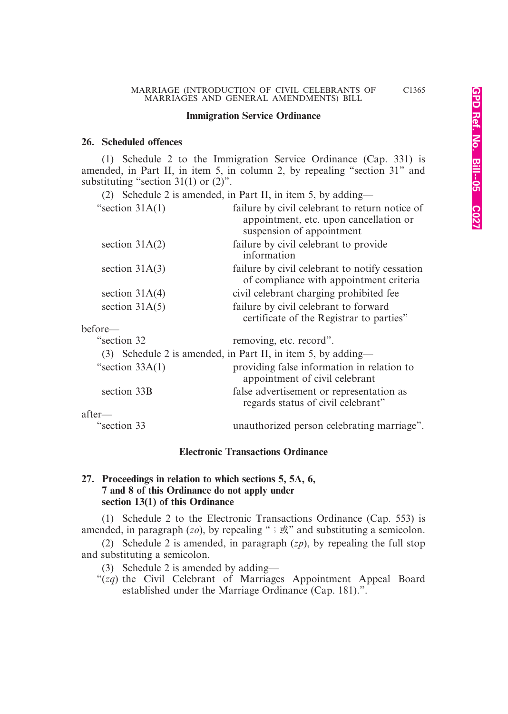#### **Immigration Service Ordinance**

#### **26. Scheduled offences**

(1) Schedule 2 to the Immigration Service Ordinance (Cap. 331) is amended, in Part II, in item 5, in column 2, by repealing "section 31" and substituting "section  $31(1)$  or  $(2)$ ".

(2) Schedule 2 is amended, in Part II, in item 5, by adding—

| "section $31A(1)$ | failure by civil celebrant to return notice of<br>appointment, etc. upon cancellation or<br>suspension of appointment |
|-------------------|-----------------------------------------------------------------------------------------------------------------------|
| section $31A(2)$  | failure by civil celebrant to provide<br>information                                                                  |
| section $31A(3)$  | failure by civil celebrant to notify cessation<br>of compliance with appointment criteria                             |
| section $31A(4)$  | civil celebrant charging prohibited fee                                                                               |
| section $31A(5)$  | failure by civil celebrant to forward<br>certificate of the Registrar to parties"                                     |
| before—           |                                                                                                                       |
| "section 32       | removing, etc. record".                                                                                               |
|                   | (3) Schedule 2 is amended, in Part II, in item 5, by adding—                                                          |
| "section $33A(1)$ | providing false information in relation to<br>appointment of civil celebrant                                          |
| section 33B       | false advertisement or representation as<br>regards status of civil celebrant"                                        |
| after—            |                                                                                                                       |
| "section 33       | unauthorized person celebrating marriage".                                                                            |

#### **Electronic Transactions Ordinance**

#### **27. Proceedings in relation to which sections 5, 5A, 6, 7 and 8 of this Ordinance do not apply under section 13(1) of this Ordinance**

(1) Schedule 2 to the Electronic Transactions Ordinance (Cap. 553) is amended, in paragraph  $(zo)$ , by repealing ";  $\overrightarrow{\mathbb{R}}$ " and substituting a semicolon.

(2) Schedule 2 is amended, in paragraph (*zp*), by repealing the full stop and substituting a semicolon.

(3) Schedule 2 is amended by adding—

"(*zq*) the Civil Celebrant of Marriages Appointment Appeal Board established under the Marriage Ordinance (Cap. 181).".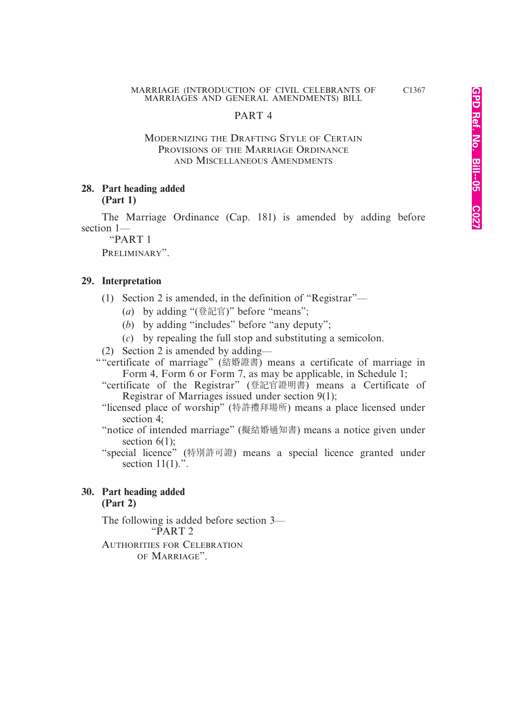#### PART 4

#### MODERNIZING THE DRAFTING STYLE OF CERTAIN PROVISIONS OF THE MARRIAGE ORDINANCE AND MISCELLANEOUS AMENDMENTS

#### **28. Part heading added (Part 1)**

The Marriage Ordinance (Cap. 181) is amended by adding before section 1—

"PART 1 PRELIMINARY".

#### **29. Interpretation**

- (1) Section 2 is amended, in the definition of "Registrar"—
	- (*a*) by adding "(登記官)" before "means";
	- (*b*) by adding "includes" before "any deputy";
	- (*c*) by repealing the full stop and substituting a semicolon.
- (2) Section 2 is amended by adding—
- ""certificate of marriage" (結婚證書) means a certificate of marriage in Form 4, Form 6 or Form 7, as may be applicable, in Schedule 1;
	- "certificate of the Registrar" (登記官證明書) means a Certificate of Registrar of Marriages issued under section 9(1);
	- "licensed place of worship" (特許禮拜場所) means a place licensed under section 4;
	- "notice of intended marriage" (擬結婚通知書) means a notice given under section  $6(1)$ ;
	- "special licence" (特別許可證) means a special licence granted under section  $11(1)$ .".

#### **30. Part heading added (Part 2)**

The following is added before section 3— "PART 2

AUTHORITIES FOR CELEBRATION OF MARRIAGE".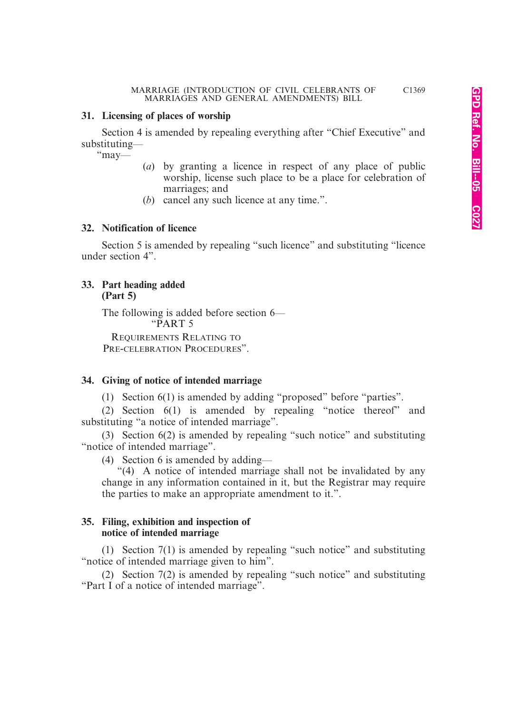#### **31. Licensing of places of worship**

Section 4 is amended by repealing everything after "Chief Executive" and substituting—

"may—

- (*a*) by granting a licence in respect of any place of public worship, license such place to be a place for celebration of marriages; and
- (*b*) cancel any such licence at any time.".

#### **32. Notification of licence**

Section 5 is amended by repealing "such licence" and substituting "licence under section 4".

#### **33. Part heading added (Part 5)**

The following is added before section 6— "PART 5

REQUIREMENTS RELATING TO PRE-CELEBRATION PROCEDURES".

#### **34. Giving of notice of intended marriage**

(1) Section 6(1) is amended by adding "proposed" before "parties".

(2) Section 6(1) is amended by repealing "notice thereof" and substituting "a notice of intended marriage".

(3) Section 6(2) is amended by repealing "such notice" and substituting "notice of intended marriage".

(4) Section 6 is amended by adding—

"(4) A notice of intended marriage shall not be invalidated by any change in any information contained in it, but the Registrar may require the parties to make an appropriate amendment to it.".

#### **35. Filing, exhibition and inspection of notice of intended marriage**

(1) Section 7(1) is amended by repealing "such notice" and substituting "notice of intended marriage given to him".

(2) Section 7(2) is amended by repealing "such notice" and substituting "Part I of a notice of intended marriage".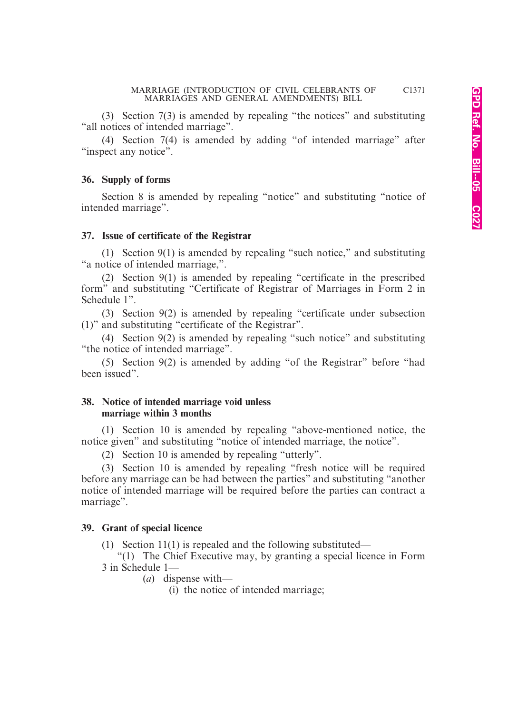(3) Section 7(3) is amended by repealing "the notices" and substituting "all notices of intended marriage".

(4) Section 7(4) is amended by adding "of intended marriage" after "inspect any notice".

#### **36. Supply of forms**

Section 8 is amended by repealing "notice" and substituting "notice of intended marriage".

#### **37. Issue of certificate of the Registrar**

(1) Section 9(1) is amended by repealing "such notice," and substituting "a notice of intended marriage,".

(2) Section 9(1) is amended by repealing "certificate in the prescribed form" and substituting "Certificate of Registrar of Marriages in Form 2 in Schedule 1".

(3) Section 9(2) is amended by repealing "certificate under subsection (1)" and substituting "certificate of the Registrar".

(4) Section 9(2) is amended by repealing "such notice" and substituting "the notice of intended marriage".

(5) Section 9(2) is amended by adding "of the Registrar" before "had been issued".

#### **38. Notice of intended marriage void unless marriage within 3 months**

(1) Section 10 is amended by repealing "above-mentioned notice, the notice given" and substituting "notice of intended marriage, the notice".

(2) Section 10 is amended by repealing "utterly".

(3) Section 10 is amended by repealing "fresh notice will be required before any marriage can be had between the parties" and substituting "another notice of intended marriage will be required before the parties can contract a marriage".

#### **39. Grant of special licence**

(1) Section 11(1) is repealed and the following substituted—

"(1) The Chief Executive may, by granting a special licence in Form 3 in Schedule 1—

(*a*) dispense with—

(i) the notice of intended marriage;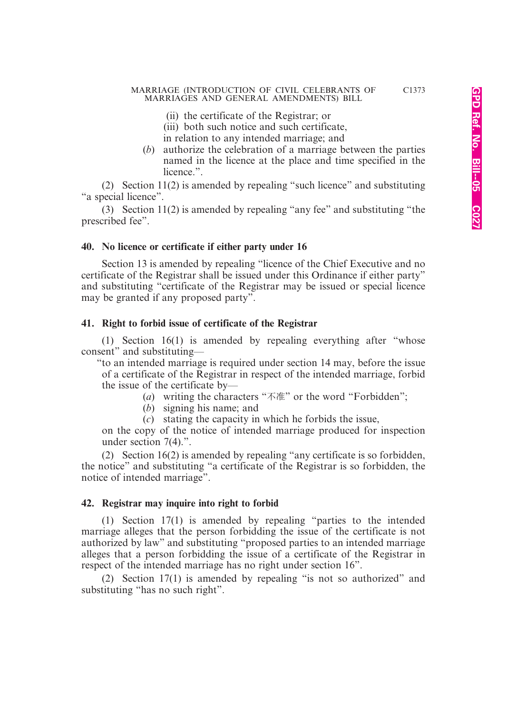- (ii) the certificate of the Registrar; or
- (iii) both such notice and such certificate,
- in relation to any intended marriage; and
- (*b*) authorize the celebration of a marriage between the parties named in the licence at the place and time specified in the licence."

(2) Section 11(2) is amended by repealing "such licence" and substituting "a special licence".

(3) Section 11(2) is amended by repealing "any fee" and substituting "the prescribed fee".

#### **40. No licence or certificate if either party under 16**

Section 13 is amended by repealing "licence of the Chief Executive and no certificate of the Registrar shall be issued under this Ordinance if either party" and substituting "certificate of the Registrar may be issued or special licence may be granted if any proposed party".

#### **41. Right to forbid issue of certificate of the Registrar**

(1) Section 16(1) is amended by repealing everything after "whose consent" and substituting—

"to an intended marriage is required under section 14 may, before the issue of a certificate of the Registrar in respect of the intended marriage, forbid the issue of the certificate by—

- (*a*) writing the characters "不准" or the word "Forbidden";
- (*b*) signing his name; and
- (*c*) stating the capacity in which he forbids the issue,

on the copy of the notice of intended marriage produced for inspection under section 7(4).".

(2) Section 16(2) is amended by repealing "any certificate is so forbidden, the notice" and substituting "a certificate of the Registrar is so forbidden, the notice of intended marriage".

#### **42. Registrar may inquire into right to forbid**

(1) Section 17(1) is amended by repealing "parties to the intended marriage alleges that the person forbidding the issue of the certificate is not authorized by law" and substituting "proposed parties to an intended marriage alleges that a person forbidding the issue of a certificate of the Registrar in respect of the intended marriage has no right under section 16".

(2) Section 17(1) is amended by repealing "is not so authorized" and substituting "has no such right".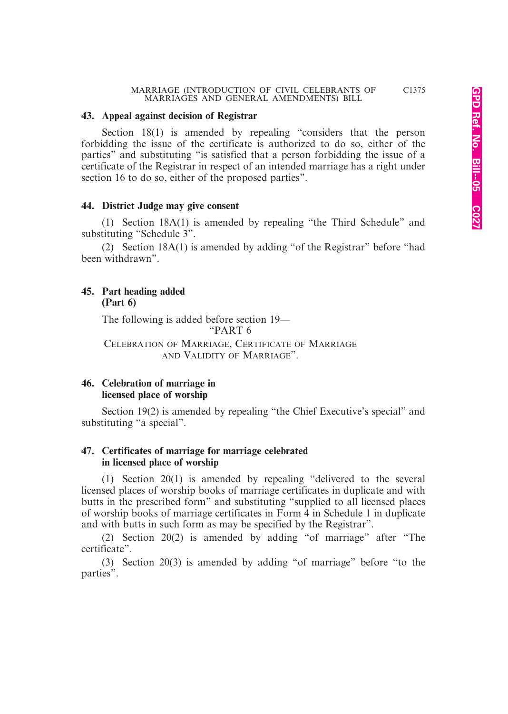#### **43. Appeal against decision of Registrar**

Section 18(1) is amended by repealing "considers that the person forbidding the issue of the certificate is authorized to do so, either of the parties" and substituting "is satisfied that a person forbidding the issue of a certificate of the Registrar in respect of an intended marriage has a right under section 16 to do so, either of the proposed parties".

#### **44. District Judge may give consent**

(1) Section 18A(1) is amended by repealing "the Third Schedule" and substituting "Schedule 3".

(2) Section 18A(1) is amended by adding "of the Registrar" before "had been withdrawn".

#### **45. Part heading added (Part 6)**

The following is added before section 19— "PART 6

CELEBRATION OF MARRIAGE, CERTIFICATE OF MARRIAGE AND VALIDITY OF MARRIAGE".

#### **46. Celebration of marriage in licensed place of worship**

Section 19(2) is amended by repealing "the Chief Executive's special" and substituting "a special".

#### **47. Certificates of marriage for marriage celebrated in licensed place of worship**

(1) Section 20(1) is amended by repealing "delivered to the several licensed places of worship books of marriage certificates in duplicate and with butts in the prescribed form" and substituting "supplied to all licensed places of worship books of marriage certificates in Form 4 in Schedule 1 in duplicate and with butts in such form as may be specified by the Registrar".

(2) Section 20(2) is amended by adding "of marriage" after "The certificate".

(3) Section 20(3) is amended by adding "of marriage" before "to the parties".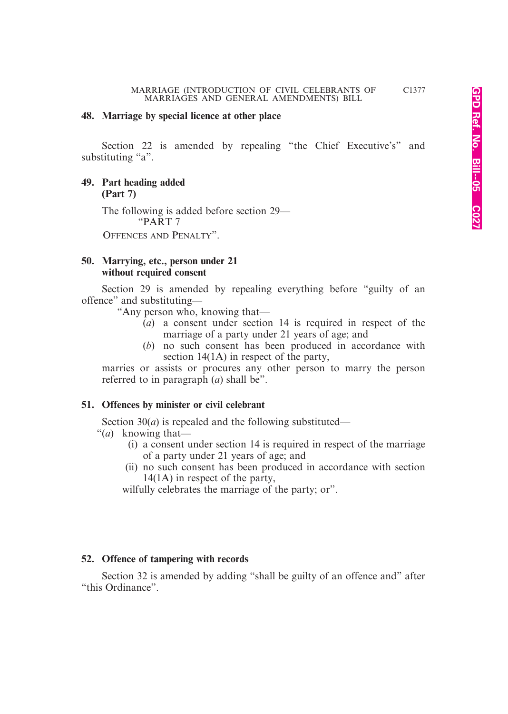#### **48. Marriage by special licence at other place**

Section 22 is amended by repealing "the Chief Executive's" and substituting "a".

**49. Part heading added (Part 7)**

> The following is added before section 29— "PART 7 OFFENCES AND PENALTY".

#### **50. Marrying, etc., person under 21 without required consent**

Section 29 is amended by repealing everything before "guilty of an offence" and substituting—

"Any person who, knowing that—

- $(a)$  a consent under section 14 is required in respect of the marriage of a party under 21 years of age; and
- (*b*) no such consent has been produced in accordance with section 14(1A) in respect of the party,

marries or assists or procures any other person to marry the person referred to in paragraph (*a*) shall be".

#### **51. Offences by minister or civil celebrant**

Section  $30(a)$  is repealed and the following substituted—

- "(*a*) knowing that—
	- (i) a consent under section 14 is required in respect of the marriage of a party under 21 years of age; and
	- (ii) no such consent has been produced in accordance with section 14(1A) in respect of the party,

wilfully celebrates the marriage of the party; or".

#### **52. Offence of tampering with records**

Section 32 is amended by adding "shall be guilty of an offence and" after "this Ordinance".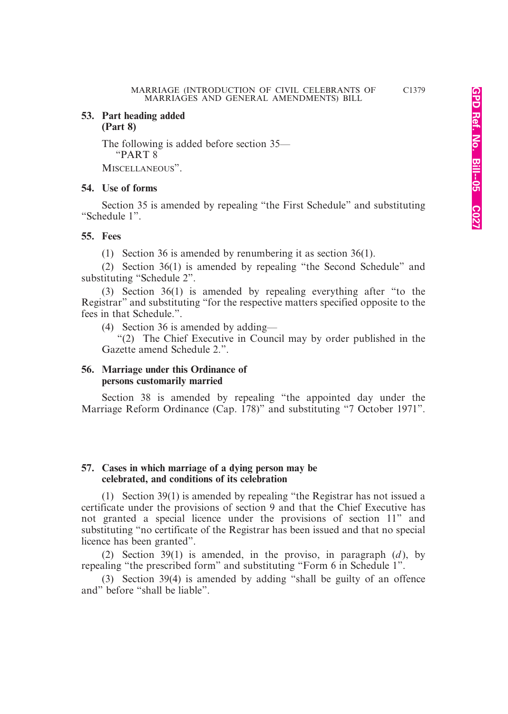#### **53. Part heading added (Part 8)**

The following is added before section 35— "PART 8

MISCELLANEOUS".

#### **54. Use of forms**

Section 35 is amended by repealing "the First Schedule" and substituting "Schedule 1".

#### **55. Fees**

(1) Section 36 is amended by renumbering it as section 36(1).

(2) Section 36(1) is amended by repealing "the Second Schedule" and substituting "Schedule 2".

(3) Section 36(1) is amended by repealing everything after "to the Registrar" and substituting "for the respective matters specified opposite to the fees in that Schedule.".

(4) Section 36 is amended by adding—

"(2) The Chief Executive in Council may by order published in the Gazette amend Schedule 2.".

#### **56. Marriage under this Ordinance of persons customarily married**

Section 38 is amended by repealing "the appointed day under the Marriage Reform Ordinance (Cap. 178)" and substituting "7 October 1971".

#### **57. Cases in which marriage of a dying person may be celebrated, and conditions of its celebration**

(1) Section 39(1) is amended by repealing "the Registrar has not issued a certificate under the provisions of section 9 and that the Chief Executive has not granted a special licence under the provisions of section 11" and substituting "no certificate of the Registrar has been issued and that no special licence has been granted".

(2) Section 39(1) is amended, in the proviso, in paragraph  $(d)$ , by repealing "the prescribed form" and substituting "Form 6 in Schedule 1".

(3) Section 39(4) is amended by adding "shall be guilty of an offence and" before "shall be liable".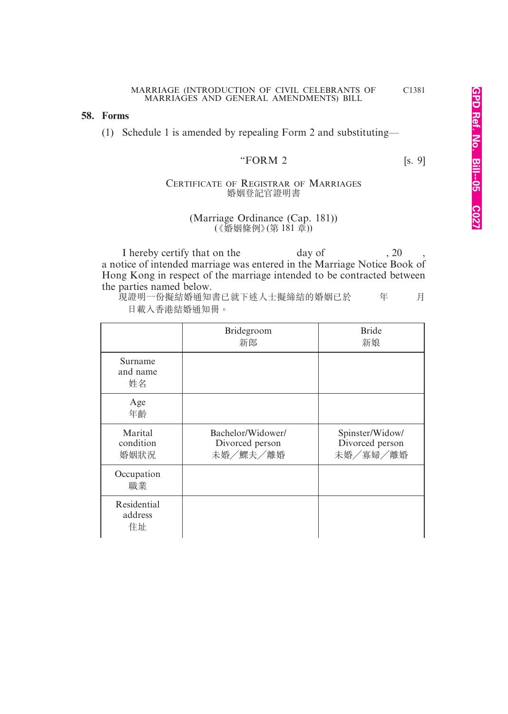#### **58. Forms**

(1) Schedule 1 is amended by repealing Form 2 and substituting—

#### "FORM 2  $[s, 9]$

#### CERTIFICATE OF REGISTRAR OF MARRIAGES 婚姻登記官證明書

#### (Marriage Ordinance (Cap. 181)) (《婚姻條例》 (第 181 章))

I hereby certify that on the day of , 20 a notice of intended marriage was entered in the Marriage Notice Book of Hong Kong in respect of the marriage intended to be contracted between the parties named below.

現證明一份擬結婚通知書已就下述人士擬締結的婚姻已於 年 月 日載入香港結婚通知冊。

|                              | Bridegroom<br>新郎                                 | <b>Bride</b><br>新娘                             |
|------------------------------|--------------------------------------------------|------------------------------------------------|
| Surname<br>and name<br>姓名    |                                                  |                                                |
| Age<br>年齡                    |                                                  |                                                |
| Marital<br>condition<br>婚姻狀況 | Bachelor/Widower/<br>Divorced person<br>未婚/鰥夫/離婚 | Spinster/Widow/<br>Divorced person<br>未婚/寡婦/離婚 |
| Occupation<br>職業             |                                                  |                                                |
| Residential<br>address<br>住址 |                                                  |                                                |

C1381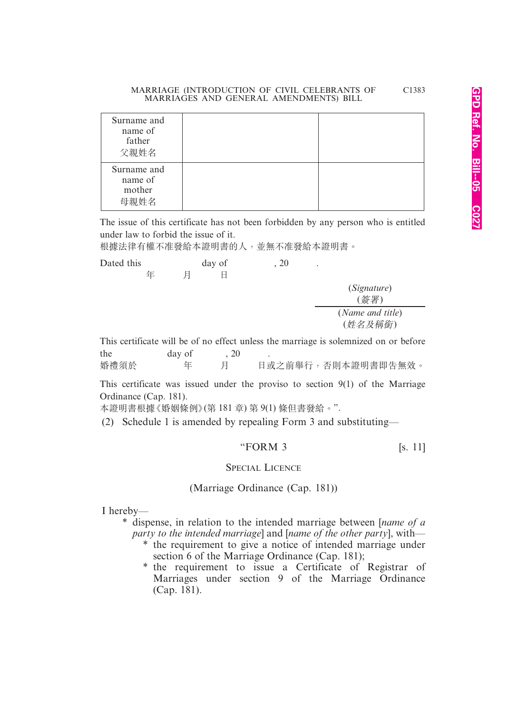| Surname and<br>name of<br>father<br>父親姓名 |  |
|------------------------------------------|--|
| Surname and<br>name of<br>mother<br>早朝性名 |  |

The issue of this certificate has not been forbidden by any person who is entitled under law to forbid the issue of it.

根據法律有權不准發給本證明書的人,並無不准發給本證明書。

| Dated this |   |        | day of | .20 | ٠ |                                                                                      |
|------------|---|--------|--------|-----|---|--------------------------------------------------------------------------------------|
|            | 年 | 月      |        |     |   |                                                                                      |
|            |   |        |        |     |   | (Signature)                                                                          |
|            |   |        |        |     |   | (簽署)                                                                                 |
|            |   |        |        |     |   | (Name and title)                                                                     |
|            |   |        |        |     |   | (姓名及稱銜)                                                                              |
|            |   |        |        |     |   | This certificate will be of no effect unless the marriage is solemnized on or before |
| the        |   | day of |        |     |   |                                                                                      |

| 婚禮須於 |  | 日或之前舉行, 否則本證明書即告無效。 |
|------|--|---------------------|

This certificate was issued under the proviso to section 9(1) of the Marriage Ordinance (Cap. 181).

本證明書根據《婚姻條例》(第 181 章) 第 9(1) 條但書發給。".

(2) Schedule 1 is amended by repealing Form 3 and substituting—

#### "FORM  $3$  [s. 11]

#### SPECIAL LICENCE

(Marriage Ordinance (Cap. 181))

I hereby—

\* dispense, in relation to the intended marriage between [*name of a party to the intended marriage*] and [*name of the other party*], with—

- \* the requirement to give a notice of intended marriage under section 6 of the Marriage Ordinance (Cap. 181);
	- \* the requirement to issue a Certificate of Registrar of Marriages under section 9 of the Marriage Ordinance (Cap. 181).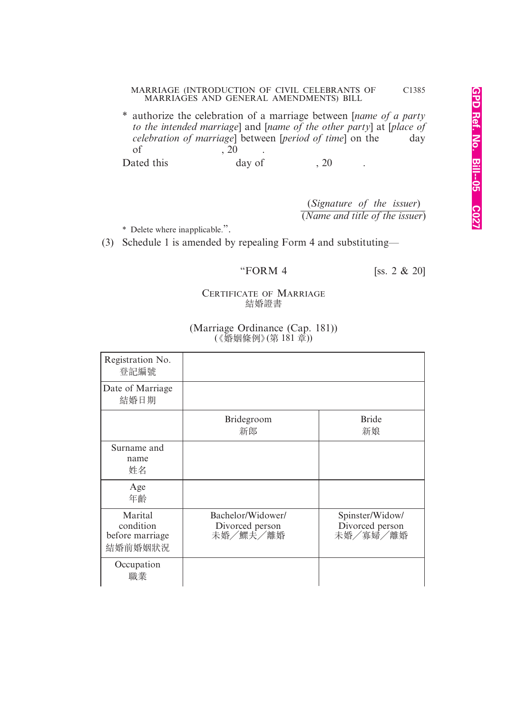\* authorize the celebration of a marriage between [*name of a party to the intended marriage*] and [*name of the other party*] at [*place of celebration of marriage*] between *[period of time]* on the day of  $\overline{)20}$  .  $\overline{)20}$  . <br>ated this day of Dated this day of 20

> (*Signature of the issuer*) (*Name and title of the issuer*)

\* Delete where inapplicable.".

(3) Schedule 1 is amended by repealing Form 4 and substituting—

"FORM 4 [ss. 2  $\&$  20]

#### CERTIFICATE OF MARRIAGE 結婚證書

| Registration No.<br>登記編號                           |                                                  |                                                |
|----------------------------------------------------|--------------------------------------------------|------------------------------------------------|
| Date of Marriage<br>結婚日期                           |                                                  |                                                |
|                                                    | <b>Bridegroom</b><br>新郎                          | <b>Bride</b><br>新娘                             |
| Surname and<br>name<br>姓名                          |                                                  |                                                |
| Age<br>年齡                                          |                                                  |                                                |
| Marital<br>condition<br>before marriage<br>結婚前婚姻狀況 | Bachelor/Widower/<br>Divorced person<br>未婚/鰥夫/離婚 | Spinster/Widow/<br>Divorced person<br>未婚/寡婦/離婚 |
| Occupation<br>職業                                   |                                                  |                                                |

#### (Marriage Ordinance (Cap. 181)) (《婚姻條例》 (第 181 章))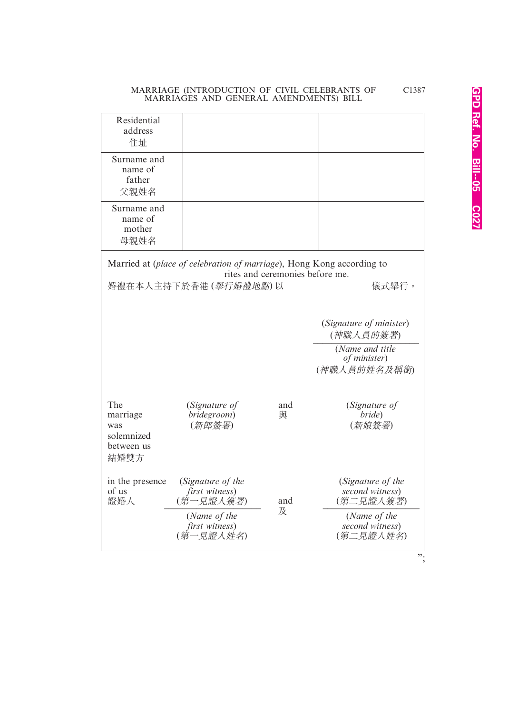| Residential<br>address<br>住址                                                                                                              |                                                                                                 |          |                                                                                                   |  |
|-------------------------------------------------------------------------------------------------------------------------------------------|-------------------------------------------------------------------------------------------------|----------|---------------------------------------------------------------------------------------------------|--|
| Surname and<br>name of<br>father<br>父親姓名                                                                                                  |                                                                                                 |          |                                                                                                   |  |
| Surname and<br>name of<br>mother<br>母親姓名                                                                                                  |                                                                                                 |          |                                                                                                   |  |
| Married at (place of celebration of marriage), Hong Kong according to<br>rites and ceremonies before me.<br>婚禮在本人主持下於香港(舉行婚禮地點)以<br>儀式舉行。 |                                                                                                 |          |                                                                                                   |  |
|                                                                                                                                           |                                                                                                 |          | (Signature of minister)<br>(神職人員的簽署)<br>(Name and title<br>of minister)<br>(神職人員的姓名及稱銜)           |  |
| The<br>marriage<br>was<br>solemnized<br>between us<br>結婚雙方                                                                                | (Signature of<br>bridegroom)<br>(新郎簽署)                                                          | and<br>與 | (Signature of<br>bride)<br>(新娘簽署)                                                                 |  |
| in the presence<br>of us<br>證婚人                                                                                                           | (Signature of the<br>first witness)<br>(第一見證人簽署)<br>(Name of the<br>first witness)<br>(第一見證人姓名) | and<br>及 | (Signature of the<br>second witness)<br>(第二見證人簽署)<br>(Name of the<br>second witness)<br>(第二見證人姓名) |  |

";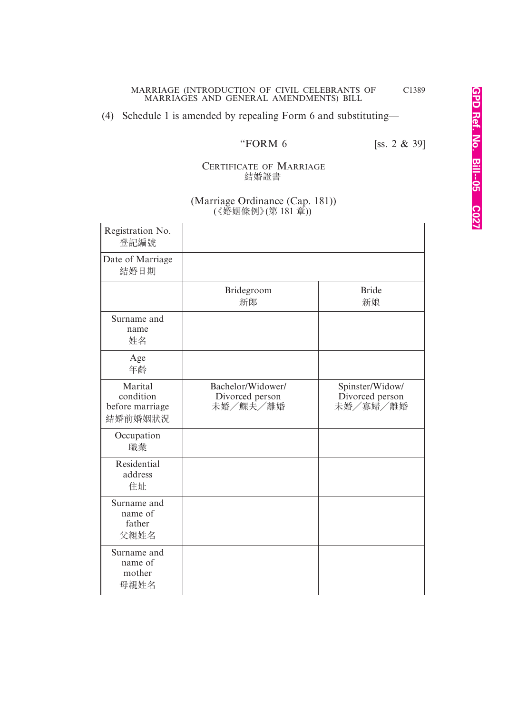### (4) Schedule 1 is amended by repealing Form 6 and substituting—

"FORM 6 [ss. 2 & 39]

#### CERTIFICATE OF MARRIAGE 結婚證書

#### (Marriage Ordinance (Cap. 181)) (《婚姻條例》(第 181 章))

| Registration No.<br>登記編號                           |                                                  |                                                |
|----------------------------------------------------|--------------------------------------------------|------------------------------------------------|
| Date of Marriage<br>結婚日期                           |                                                  |                                                |
|                                                    | Bridegroom<br>新郎                                 | <b>Bride</b><br>新娘                             |
| Surname and<br>name<br>姓名                          |                                                  |                                                |
| Age<br>年齡                                          |                                                  |                                                |
| Marital<br>condition<br>before marriage<br>結婚前婚姻狀況 | Bachelor/Widower/<br>Divorced person<br>未婚/鰥夫/離婚 | Spinster/Widow/<br>Divorced person<br>未婚/寡婦/離婚 |
| Occupation<br>職業                                   |                                                  |                                                |
| Residential<br>address<br>住址                       |                                                  |                                                |
| Surname and<br>name of<br>father<br>父親姓名           |                                                  |                                                |
| Surname and<br>name of<br>mother<br>母親姓名           |                                                  |                                                |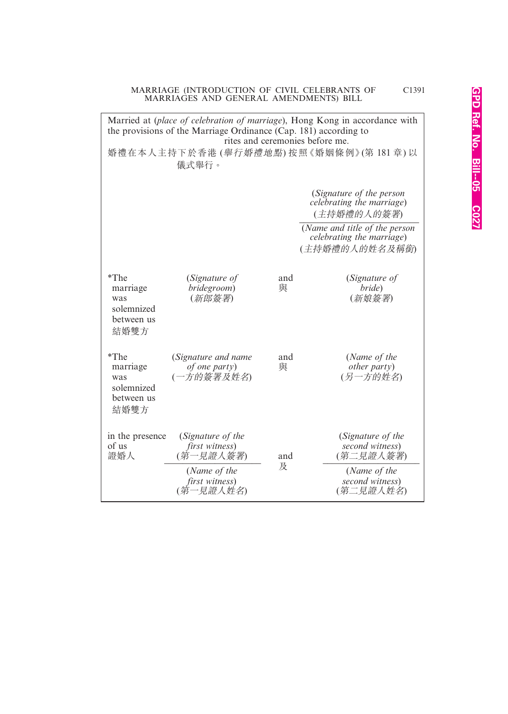| Married at (place of celebration of marriage), Hong Kong in accordance with<br>the provisions of the Marriage Ordinance (Cap. 181) according to<br>rites and ceremonies before me.<br>婚禮在本人主持下於香港(舉行婚禮地點)按照《婚姻條例》(第181章)以 |                                                                                                 |                                                                      |                                                                                                   |  |  |
|---------------------------------------------------------------------------------------------------------------------------------------------------------------------------------------------------------------------------|-------------------------------------------------------------------------------------------------|----------------------------------------------------------------------|---------------------------------------------------------------------------------------------------|--|--|
| 儀式舉行。                                                                                                                                                                                                                     |                                                                                                 |                                                                      |                                                                                                   |  |  |
|                                                                                                                                                                                                                           |                                                                                                 | (Signature of the person<br>celebrating the marriage)<br>(主持婚禮的人的簽署) |                                                                                                   |  |  |
|                                                                                                                                                                                                                           |                                                                                                 |                                                                      | (Name and title of the person<br>celebrating the marriage)<br>(主持婚禮的人的姓名及稱銜)                      |  |  |
| *The<br>marriage<br>was<br>solemnized<br>between us<br>結婚雙方                                                                                                                                                               | (Signature of<br>bridegroom)<br>(新郎簽署)                                                          | and<br>與                                                             | (Signature of<br>bride)<br>(新娘簽署)                                                                 |  |  |
| $*$ The<br>marriage<br>was<br>solemnized<br>between us<br>結婚雙方                                                                                                                                                            | (Signature and name<br>of one party)<br>(一方的簽署及姓名)                                              | and<br>與                                                             | (Name of the<br><i>other party</i> )<br>(另一方的姓名)                                                  |  |  |
| in the presence<br>of us<br>證婚人                                                                                                                                                                                           | (Signature of the<br>first witness)<br>(第一見證人簽署)<br>(Name of the<br>first witness)<br>(第一見證人姓名) | and<br>及                                                             | (Signature of the<br>second witness)<br>(第二見證人簽署)<br>(Name of the<br>second witness)<br>(第二見證人姓名) |  |  |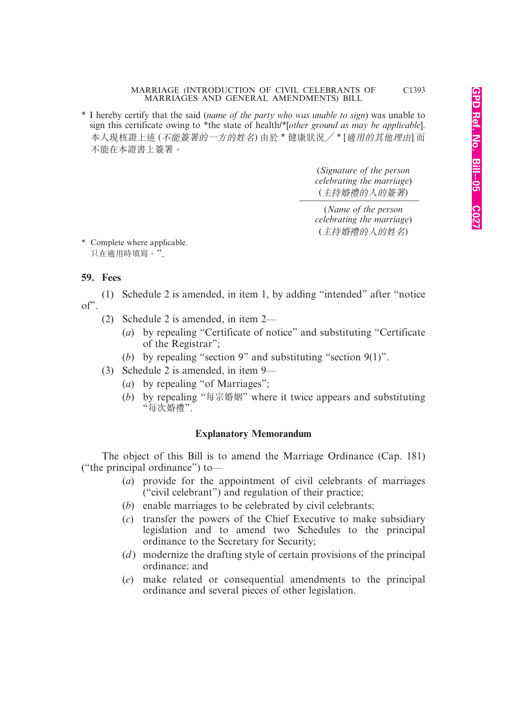\* I hereby certify that the said (*name of the party who was unable to sign*) was unable to sign this certificate owing to \*the state of health/\*[*other ground as may be applicable*]. 本人現核證上述 (不能簽署的一方的姓名) 由於 \* 健康狀況/ \* [適用的其他理由] 而 不能在本證書上簽署。

> (*Signature of the person celebrating the marriage*) (主持婚禮的人的簽署) *\_\_\_\_\_\_\_\_\_\_\_\_\_\_\_\_\_\_\_\_\_\_\_\_\_\_*

(*Name of the person celebrating the marriage*) (主持婚禮的人的姓名)

\* Complete where applicable. 只在適用時填寫。".

#### **59. Fees**

(1) Schedule 2 is amended, in item 1, by adding "intended" after "notice of".

- (2) Schedule 2 is amended, in item 2—
	- (*a*) by repealing "Certificate of notice" and substituting "Certificate of the Registrar";
	- (*b*) by repealing "section 9" and substituting "section 9(1)".
- (3) Schedule 2 is amended, in item 9—
	- (*a*) by repealing "of Marriages";
	- (*b*) by repealing "每宗婚姻" where it twice appears and substituting "每次婚禮".

#### **Explanatory Memorandum**

The object of this Bill is to amend the Marriage Ordinance (Cap. 181) ("the principal ordinance") to—

- (*a*) provide for the appointment of civil celebrants of marriages ("civil celebrant") and regulation of their practice;
- (*b*) enable marriages to be celebrated by civil celebrants;
- (*c*) transfer the powers of the Chief Executive to make subsidiary legislation and to amend two Schedules to the principal ordinance to the Secretary for Security;
- (*d*) modernize the drafting style of certain provisions of the principal ordinance; and
- (*e*) make related or consequential amendments to the principal ordinance and several pieces of other legislation.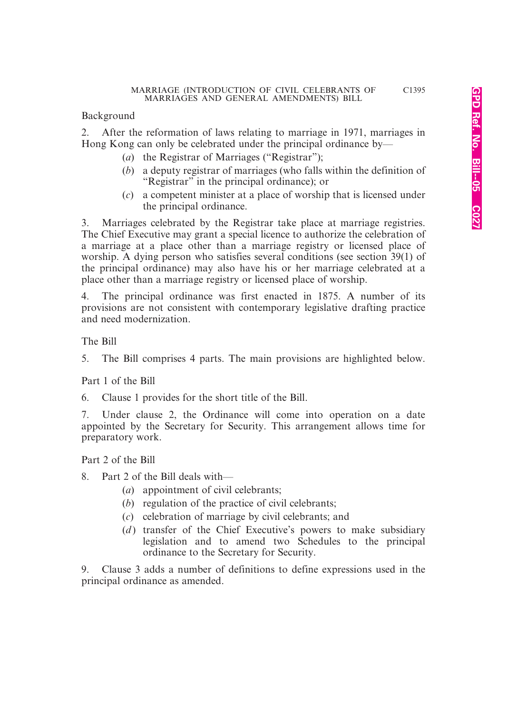Background

2. After the reformation of laws relating to marriage in 1971, marriages in Hong Kong can only be celebrated under the principal ordinance by—

- (*a*) the Registrar of Marriages ("Registrar");
- (*b*) a deputy registrar of marriages (who falls within the definition of "Registrar" in the principal ordinance); or
- (*c*) a competent minister at a place of worship that is licensed under the principal ordinance.

3. Marriages celebrated by the Registrar take place at marriage registries. The Chief Executive may grant a special licence to authorize the celebration of a marriage at a place other than a marriage registry or licensed place of worship. A dying person who satisfies several conditions (see section 39(1) of the principal ordinance) may also have his or her marriage celebrated at a place other than a marriage registry or licensed place of worship.

4. The principal ordinance was first enacted in 1875. A number of its provisions are not consistent with contemporary legislative drafting practice and need modernization.

The Bill

5. The Bill comprises 4 parts. The main provisions are highlighted below.

Part 1 of the Bill

6. Clause 1 provides for the short title of the Bill.

7. Under clause 2, the Ordinance will come into operation on a date appointed by the Secretary for Security. This arrangement allows time for preparatory work.

Part 2 of the Bill

- 8. Part 2 of the Bill deals with—
	- (*a*) appointment of civil celebrants;
	- (*b*) regulation of the practice of civil celebrants;
	- (*c*) celebration of marriage by civil celebrants; and
	- (*d*) transfer of the Chief Executive's powers to make subsidiary legislation and to amend two Schedules to the principal ordinance to the Secretary for Security.

9. Clause 3 adds a number of definitions to define expressions used in the principal ordinance as amended.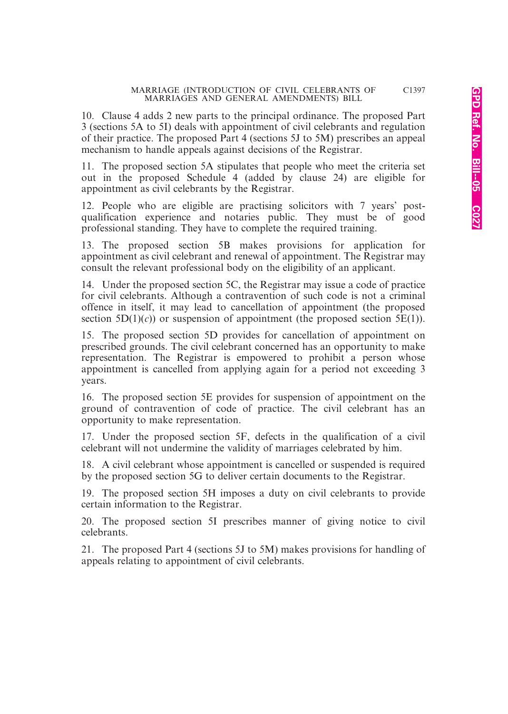10. Clause 4 adds 2 new parts to the principal ordinance. The proposed Part 3 (sections 5A to 5I) deals with appointment of civil celebrants and regulation of their practice. The proposed Part 4 (sections 5J to 5M) prescribes an appeal mechanism to handle appeals against decisions of the Registrar.

11. The proposed section 5A stipulates that people who meet the criteria set out in the proposed Schedule 4 (added by clause 24) are eligible for appointment as civil celebrants by the Registrar.

12. People who are eligible are practising solicitors with 7 years' postqualification experience and notaries public. They must be of good professional standing. They have to complete the required training.

13. The proposed section 5B makes provisions for application for appointment as civil celebrant and renewal of appointment. The Registrar may consult the relevant professional body on the eligibility of an applicant.

14. Under the proposed section 5C, the Registrar may issue a code of practice for civil celebrants. Although a contravention of such code is not a criminal offence in itself, it may lead to cancellation of appointment (the proposed section  $5D(1)(c)$  or suspension of appointment (the proposed section  $5E(1)$ ).

15. The proposed section 5D provides for cancellation of appointment on prescribed grounds. The civil celebrant concerned has an opportunity to make representation. The Registrar is empowered to prohibit a person whose appointment is cancelled from applying again for a period not exceeding 3 years.

16. The proposed section 5E provides for suspension of appointment on the ground of contravention of code of practice. The civil celebrant has an opportunity to make representation.

17. Under the proposed section 5F, defects in the qualification of a civil celebrant will not undermine the validity of marriages celebrated by him.

18. A civil celebrant whose appointment is cancelled or suspended is required by the proposed section 5G to deliver certain documents to the Registrar.

19. The proposed section 5H imposes a duty on civil celebrants to provide certain information to the Registrar.

20. The proposed section 5I prescribes manner of giving notice to civil celebrants.

21. The proposed Part 4 (sections 5J to 5M) makes provisions for handling of appeals relating to appointment of civil celebrants.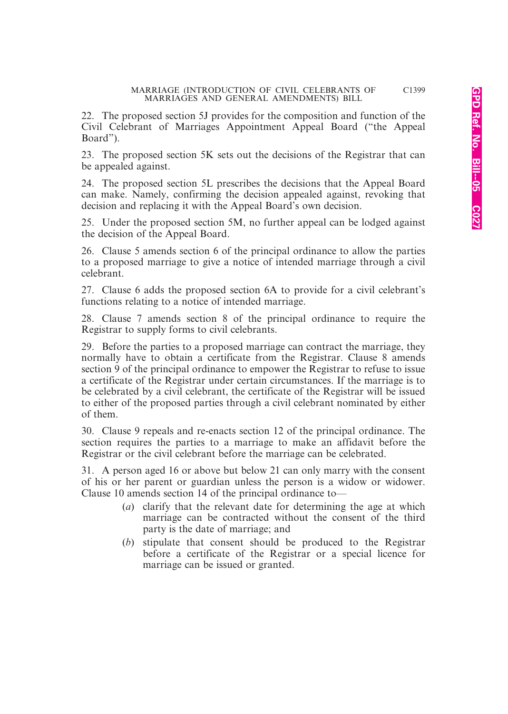22. The proposed section 5J provides for the composition and function of the Civil Celebrant of Marriages Appointment Appeal Board ("the Appeal Board").

23. The proposed section 5K sets out the decisions of the Registrar that can be appealed against.

24. The proposed section 5L prescribes the decisions that the Appeal Board can make. Namely, confirming the decision appealed against, revoking that decision and replacing it with the Appeal Board's own decision.

25. Under the proposed section 5M, no further appeal can be lodged against the decision of the Appeal Board.

26. Clause 5 amends section 6 of the principal ordinance to allow the parties to a proposed marriage to give a notice of intended marriage through a civil celebrant.

27. Clause 6 adds the proposed section 6A to provide for a civil celebrant's functions relating to a notice of intended marriage.

28. Clause 7 amends section 8 of the principal ordinance to require the Registrar to supply forms to civil celebrants.

29. Before the parties to a proposed marriage can contract the marriage, they normally have to obtain a certificate from the Registrar. Clause 8 amends section 9 of the principal ordinance to empower the Registrar to refuse to issue a certificate of the Registrar under certain circumstances. If the marriage is to be celebrated by a civil celebrant, the certificate of the Registrar will be issued to either of the proposed parties through a civil celebrant nominated by either of them.

30. Clause 9 repeals and re-enacts section 12 of the principal ordinance. The section requires the parties to a marriage to make an affidavit before the Registrar or the civil celebrant before the marriage can be celebrated.

31. A person aged 16 or above but below 21 can only marry with the consent of his or her parent or guardian unless the person is a widow or widower. Clause 10 amends section 14 of the principal ordinance to—

- (*a*) clarify that the relevant date for determining the age at which marriage can be contracted without the consent of the third party is the date of marriage; and
- (*b*) stipulate that consent should be produced to the Registrar before a certificate of the Registrar or a special licence for marriage can be issued or granted.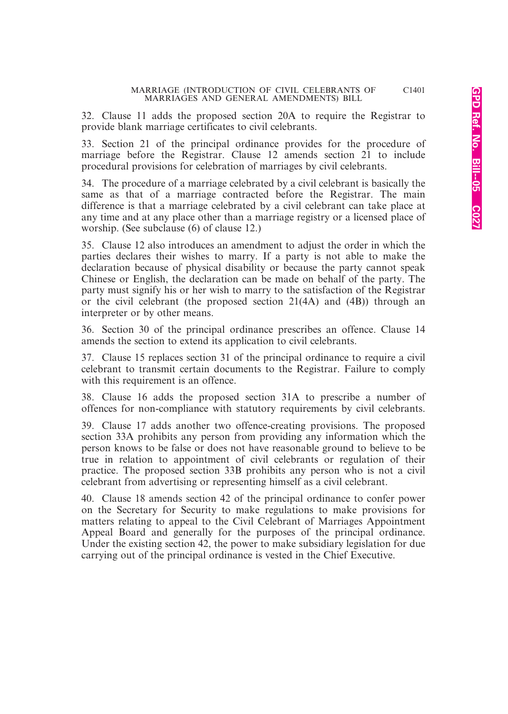32. Clause 11 adds the proposed section 20A to require the Registrar to provide blank marriage certificates to civil celebrants.

33. Section 21 of the principal ordinance provides for the procedure of marriage before the Registrar. Clause 12 amends section 21 to include procedural provisions for celebration of marriages by civil celebrants.

34. The procedure of a marriage celebrated by a civil celebrant is basically the same as that of a marriage contracted before the Registrar. The main difference is that a marriage celebrated by a civil celebrant can take place at any time and at any place other than a marriage registry or a licensed place of worship. (See subclause (6) of clause 12.)

35. Clause 12 also introduces an amendment to adjust the order in which the parties declares their wishes to marry. If a party is not able to make the declaration because of physical disability or because the party cannot speak Chinese or English, the declaration can be made on behalf of the party. The party must signify his or her wish to marry to the satisfaction of the Registrar or the civil celebrant (the proposed section  $21(4A)$  and  $(4B)$ ) through an interpreter or by other means.

36. Section 30 of the principal ordinance prescribes an offence. Clause 14 amends the section to extend its application to civil celebrants.

37. Clause 15 replaces section 31 of the principal ordinance to require a civil celebrant to transmit certain documents to the Registrar. Failure to comply with this requirement is an offence.

38. Clause 16 adds the proposed section 31A to prescribe a number of offences for non-compliance with statutory requirements by civil celebrants.

39. Clause 17 adds another two offence-creating provisions. The proposed section 33A prohibits any person from providing any information which the person knows to be false or does not have reasonable ground to believe to be true in relation to appointment of civil celebrants or regulation of their practice. The proposed section 33B prohibits any person who is not a civil celebrant from advertising or representing himself as a civil celebrant.

40. Clause 18 amends section 42 of the principal ordinance to confer power on the Secretary for Security to make regulations to make provisions for matters relating to appeal to the Civil Celebrant of Marriages Appointment Appeal Board and generally for the purposes of the principal ordinance. Under the existing section 42, the power to make subsidiary legislation for due carrying out of the principal ordinance is vested in the Chief Executive.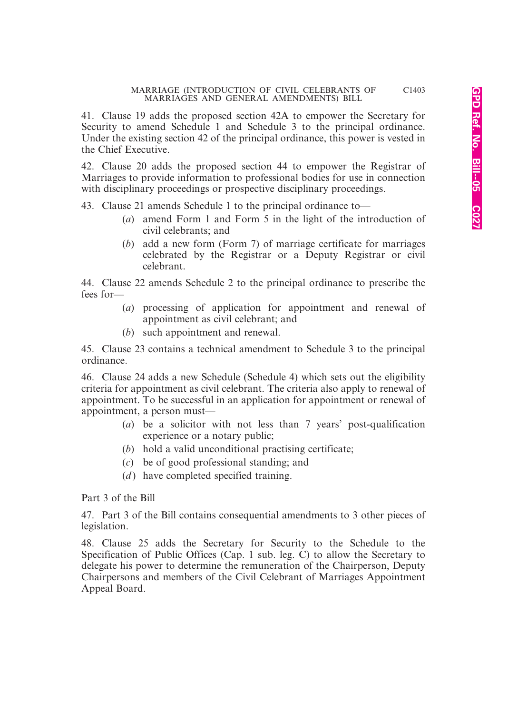41. Clause 19 adds the proposed section 42A to empower the Secretary for Security to amend Schedule 1 and Schedule 3 to the principal ordinance. Under the existing section 42 of the principal ordinance, this power is vested in the Chief Executive.

42. Clause 20 adds the proposed section 44 to empower the Registrar of Marriages to provide information to professional bodies for use in connection with disciplinary proceedings or prospective disciplinary proceedings.

43. Clause 21 amends Schedule 1 to the principal ordinance to—

- (*a*) amend Form 1 and Form 5 in the light of the introduction of civil celebrants; and
- (*b*) add a new form (Form 7) of marriage certificate for marriages celebrated by the Registrar or a Deputy Registrar or civil celebrant.

44. Clause 22 amends Schedule 2 to the principal ordinance to prescribe the fees for—

- (*a*) processing of application for appointment and renewal of appointment as civil celebrant; and
- (*b*) such appointment and renewal.

45. Clause 23 contains a technical amendment to Schedule 3 to the principal ordinance.

46. Clause 24 adds a new Schedule (Schedule 4) which sets out the eligibility criteria for appointment as civil celebrant. The criteria also apply to renewal of appointment. To be successful in an application for appointment or renewal of appointment, a person must—

- (*a*) be a solicitor with not less than 7 years' post-qualification experience or a notary public;
- (*b*) hold a valid unconditional practising certificate;
- (*c*) be of good professional standing; and
- (*d*) have completed specified training.

Part 3 of the Bill

47. Part 3 of the Bill contains consequential amendments to 3 other pieces of legislation.

48. Clause 25 adds the Secretary for Security to the Schedule to the Specification of Public Offices (Cap. 1 sub. leg. C) to allow the Secretary to delegate his power to determine the remuneration of the Chairperson, Deputy Chairpersons and members of the Civil Celebrant of Marriages Appointment Appeal Board.